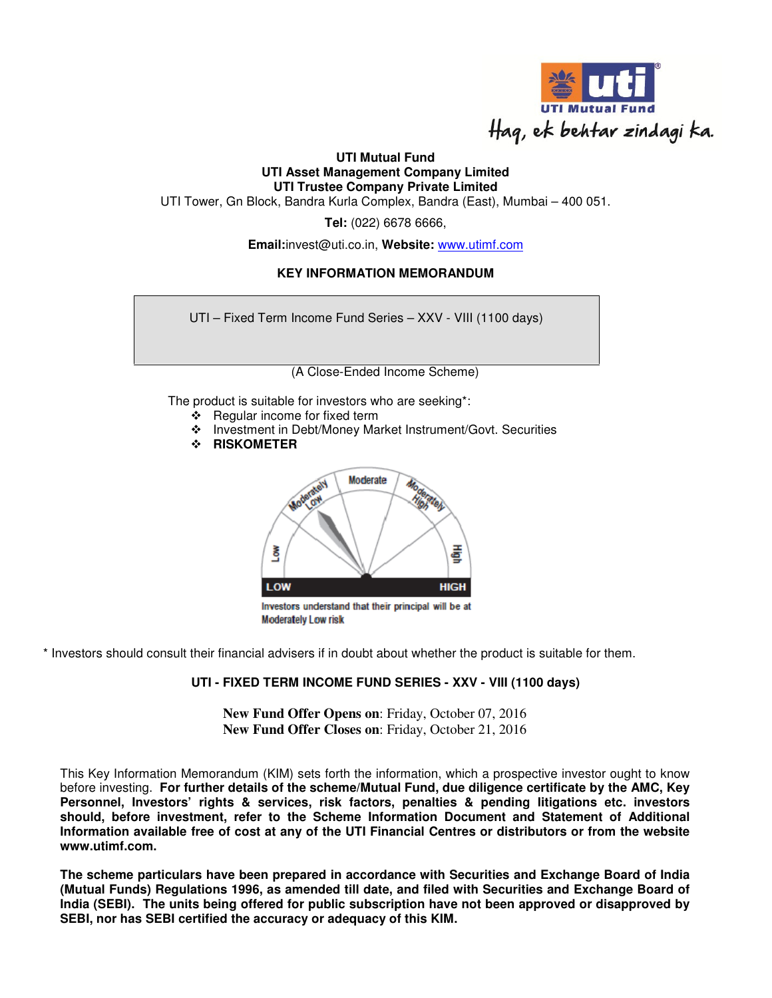

## **UTI Mutual Fund UTI Asset Management Company Limited UTI Trustee Company Private Limited**

UTI Tower, Gn Block, Bandra Kurla Complex, Bandra (East), Mumbai – 400 051.

**Tel:** (022) 6678 6666,

**Email:**invest@uti.co.in, **Website:** www.utimf.com

## **KEY INFORMATION MEMORANDUM**

UTI – Fixed Term Income Fund Series – XXV - VIII (1100 days)

(A Close-Ended Income Scheme)

The product is suitable for investors who are seeking\*:

- ❖ Regular income for fixed term
- Investment in Debt/Money Market Instrument/Govt. Securities
- **RISKOMETER**



\* Investors should consult their financial advisers if in doubt about whether the product is suitable for them.

#### **UTI - FIXED TERM INCOME FUND SERIES - XXV - VIII (1100 days)**

**New Fund Offer Opens on**: Friday, October 07, 2016 **New Fund Offer Closes on**: Friday, October 21, 2016

This Key Information Memorandum (KIM) sets forth the information, which a prospective investor ought to know before investing. **For further details of the scheme/Mutual Fund, due diligence certificate by the AMC, Key Personnel, Investors' rights & services, risk factors, penalties & pending litigations etc. investors should, before investment, refer to the Scheme Information Document and Statement of Additional Information available free of cost at any of the UTI Financial Centres or distributors or from the website www.utimf.com.** 

**The scheme particulars have been prepared in accordance with Securities and Exchange Board of India (Mutual Funds) Regulations 1996, as amended till date, and filed with Securities and Exchange Board of India (SEBI). The units being offered for public subscription have not been approved or disapproved by SEBI, nor has SEBI certified the accuracy or adequacy of this KIM.**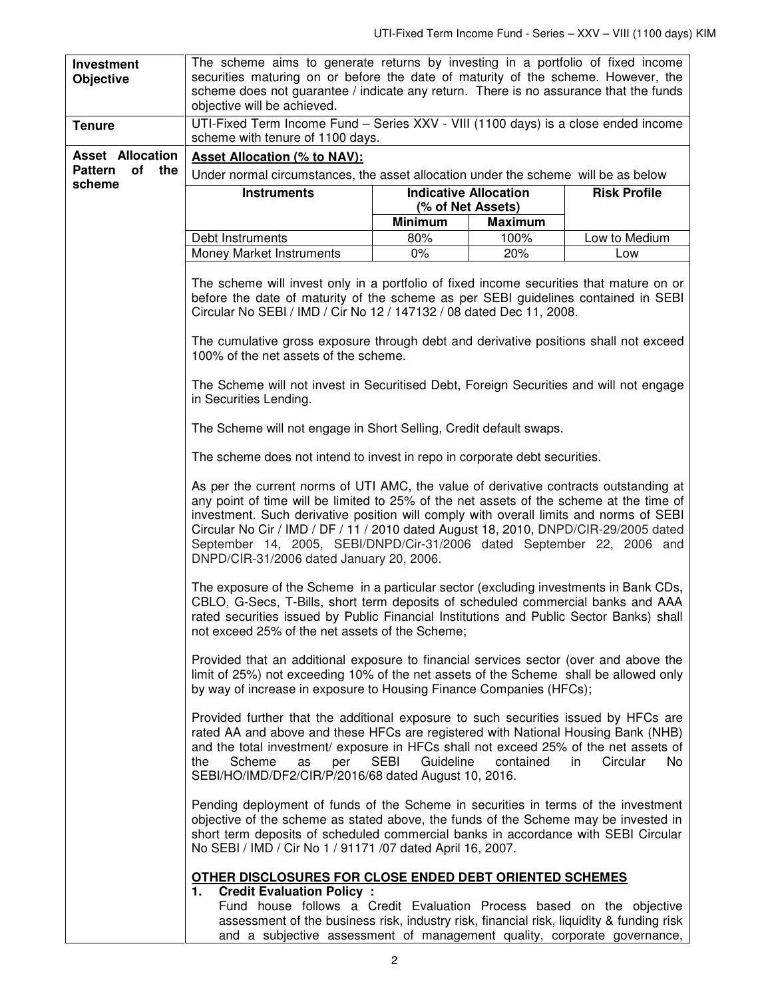| Investment<br><b>Objective</b> | The scheme aims to generate returns by investing in a portfolio of fixed income<br>securities maturing on or before the date of maturity of the scheme. However, the<br>scheme does not guarantee / indicate any return. There is no assurance that the funds<br>objective will be achieved.                                                                                                                                                                                                                                                                                                                                                                                                                                                                                                                                                                                                                                                                                                                                                                                 |                              |                |                        |
|--------------------------------|------------------------------------------------------------------------------------------------------------------------------------------------------------------------------------------------------------------------------------------------------------------------------------------------------------------------------------------------------------------------------------------------------------------------------------------------------------------------------------------------------------------------------------------------------------------------------------------------------------------------------------------------------------------------------------------------------------------------------------------------------------------------------------------------------------------------------------------------------------------------------------------------------------------------------------------------------------------------------------------------------------------------------------------------------------------------------|------------------------------|----------------|------------------------|
| <b>Tenure</b>                  | UTI-Fixed Term Income Fund - Series XXV - VIII (1100 days) is a close ended income<br>scheme with tenure of 1100 days.                                                                                                                                                                                                                                                                                                                                                                                                                                                                                                                                                                                                                                                                                                                                                                                                                                                                                                                                                       |                              |                |                        |
| <b>Asset Allocation</b>        | <b>Asset Allocation (% to NAV):</b>                                                                                                                                                                                                                                                                                                                                                                                                                                                                                                                                                                                                                                                                                                                                                                                                                                                                                                                                                                                                                                          |                              |                |                        |
| <b>Pattern</b><br>of<br>the    | Under normal circumstances, the asset allocation under the scheme will be as below                                                                                                                                                                                                                                                                                                                                                                                                                                                                                                                                                                                                                                                                                                                                                                                                                                                                                                                                                                                           |                              |                |                        |
| scheme                         | <b>Instruments</b>                                                                                                                                                                                                                                                                                                                                                                                                                                                                                                                                                                                                                                                                                                                                                                                                                                                                                                                                                                                                                                                           | <b>Indicative Allocation</b> |                | <b>Risk Profile</b>    |
|                                |                                                                                                                                                                                                                                                                                                                                                                                                                                                                                                                                                                                                                                                                                                                                                                                                                                                                                                                                                                                                                                                                              | (% of Net Assets)            |                |                        |
|                                |                                                                                                                                                                                                                                                                                                                                                                                                                                                                                                                                                                                                                                                                                                                                                                                                                                                                                                                                                                                                                                                                              | <b>Minimum</b>               | <b>Maximum</b> |                        |
|                                | Debt Instruments                                                                                                                                                                                                                                                                                                                                                                                                                                                                                                                                                                                                                                                                                                                                                                                                                                                                                                                                                                                                                                                             | 80%                          | 100%           | Low to Medium          |
|                                | Money Market Instruments                                                                                                                                                                                                                                                                                                                                                                                                                                                                                                                                                                                                                                                                                                                                                                                                                                                                                                                                                                                                                                                     | $0\%$                        | 20%            | Low                    |
|                                | The scheme will invest only in a portfolio of fixed income securities that mature on or<br>before the date of maturity of the scheme as per SEBI guidelines contained in SEBI<br>Circular No SEBI / IMD / Cir No 12 / 147132 / 08 dated Dec 11, 2008.                                                                                                                                                                                                                                                                                                                                                                                                                                                                                                                                                                                                                                                                                                                                                                                                                        |                              |                |                        |
|                                | The cumulative gross exposure through debt and derivative positions shall not exceed<br>100% of the net assets of the scheme.                                                                                                                                                                                                                                                                                                                                                                                                                                                                                                                                                                                                                                                                                                                                                                                                                                                                                                                                                |                              |                |                        |
|                                | The Scheme will not invest in Securitised Debt, Foreign Securities and will not engage<br>in Securities Lending.                                                                                                                                                                                                                                                                                                                                                                                                                                                                                                                                                                                                                                                                                                                                                                                                                                                                                                                                                             |                              |                |                        |
|                                | The Scheme will not engage in Short Selling, Credit default swaps.                                                                                                                                                                                                                                                                                                                                                                                                                                                                                                                                                                                                                                                                                                                                                                                                                                                                                                                                                                                                           |                              |                |                        |
|                                | The scheme does not intend to invest in repo in corporate debt securities.                                                                                                                                                                                                                                                                                                                                                                                                                                                                                                                                                                                                                                                                                                                                                                                                                                                                                                                                                                                                   |                              |                |                        |
|                                | As per the current norms of UTI AMC, the value of derivative contracts outstanding at<br>any point of time will be limited to 25% of the net assets of the scheme at the time of<br>investment. Such derivative position will comply with overall limits and norms of SEBI<br>Circular No Cir / IMD / DF / 11 / 2010 dated August 18, 2010, DNPD/CIR-29/2005 dated<br>September 14, 2005, SEBI/DNPD/Cir-31/2006 dated September 22, 2006 and<br>DNPD/CIR-31/2006 dated January 20, 2006.<br>The exposure of the Scheme in a particular sector (excluding investments in Bank CDs,<br>CBLO, G-Secs, T-Bills, short term deposits of scheduled commercial banks and AAA<br>rated securities issued by Public Financial Institutions and Public Sector Banks) shall<br>not exceed 25% of the net assets of the Scheme;<br>Provided that an additional exposure to financial services sector (over and above the<br>limit of 25%) not exceeding 10% of the net assets of the Scheme shall be allowed only<br>by way of increase in exposure to Housing Finance Companies (HFCs); |                              |                |                        |
|                                |                                                                                                                                                                                                                                                                                                                                                                                                                                                                                                                                                                                                                                                                                                                                                                                                                                                                                                                                                                                                                                                                              |                              |                |                        |
|                                |                                                                                                                                                                                                                                                                                                                                                                                                                                                                                                                                                                                                                                                                                                                                                                                                                                                                                                                                                                                                                                                                              |                              |                |                        |
|                                | Provided further that the additional exposure to such securities issued by HFCs are<br>rated AA and above and these HFCs are registered with National Housing Bank (NHB)<br>and the total investment/ exposure in HFCs shall not exceed 25% of the net assets of<br>the<br>Scheme<br>per<br>as<br>SEBI/HO/IMD/DF2/CIR/P/2016/68 dated August 10, 2016.                                                                                                                                                                                                                                                                                                                                                                                                                                                                                                                                                                                                                                                                                                                       | <b>SEBI</b><br>Guideline     | contained      | in.<br>Circular<br>No. |
|                                | Pending deployment of funds of the Scheme in securities in terms of the investment<br>objective of the scheme as stated above, the funds of the Scheme may be invested in<br>short term deposits of scheduled commercial banks in accordance with SEBI Circular<br>No SEBI / IMD / Cir No 1 / 91171 /07 dated April 16, 2007.                                                                                                                                                                                                                                                                                                                                                                                                                                                                                                                                                                                                                                                                                                                                                |                              |                |                        |
|                                | OTHER DISCLOSURES FOR CLOSE ENDED DEBT ORIENTED SCHEMES<br><b>Credit Evaluation Policy:</b><br>1.                                                                                                                                                                                                                                                                                                                                                                                                                                                                                                                                                                                                                                                                                                                                                                                                                                                                                                                                                                            |                              |                |                        |
|                                | Fund house follows a Credit Evaluation Process based on the objective<br>assessment of the business risk, industry risk, financial risk, liquidity & funding risk                                                                                                                                                                                                                                                                                                                                                                                                                                                                                                                                                                                                                                                                                                                                                                                                                                                                                                            |                              |                |                        |

and a subjective assessment of management quality, corporate governance,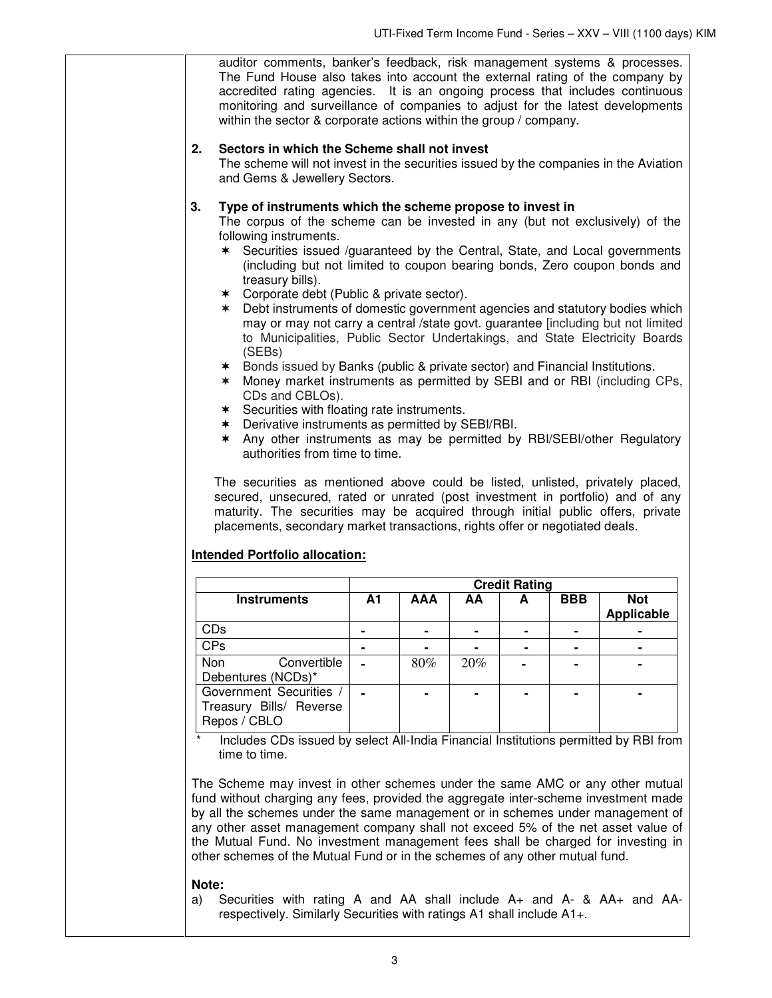|                                                                                                                                                                                                                                                                                                                                                                                                                                                                                                                                                                                                                                                                                                                                                                                                                                                                                                                                                                                                                                                                                                                                                                                                                                                                                                                                                                                                                                 | auditor comments, banker's feedback, risk management systems & processes.<br>The Fund House also takes into account the external rating of the company by<br>accredited rating agencies. It is an ongoing process that includes continuous<br>monitoring and surveillance of companies to adjust for the latest developments<br>within the sector & corporate actions within the group / company. |            |     |                      |            |                   |
|---------------------------------------------------------------------------------------------------------------------------------------------------------------------------------------------------------------------------------------------------------------------------------------------------------------------------------------------------------------------------------------------------------------------------------------------------------------------------------------------------------------------------------------------------------------------------------------------------------------------------------------------------------------------------------------------------------------------------------------------------------------------------------------------------------------------------------------------------------------------------------------------------------------------------------------------------------------------------------------------------------------------------------------------------------------------------------------------------------------------------------------------------------------------------------------------------------------------------------------------------------------------------------------------------------------------------------------------------------------------------------------------------------------------------------|---------------------------------------------------------------------------------------------------------------------------------------------------------------------------------------------------------------------------------------------------------------------------------------------------------------------------------------------------------------------------------------------------|------------|-----|----------------------|------------|-------------------|
| 2.                                                                                                                                                                                                                                                                                                                                                                                                                                                                                                                                                                                                                                                                                                                                                                                                                                                                                                                                                                                                                                                                                                                                                                                                                                                                                                                                                                                                                              | Sectors in which the Scheme shall not invest<br>The scheme will not invest in the securities issued by the companies in the Aviation<br>and Gems & Jewellery Sectors.                                                                                                                                                                                                                             |            |     |                      |            |                   |
| 3.<br>Type of instruments which the scheme propose to invest in<br>The corpus of the scheme can be invested in any (but not exclusively) of the<br>following instruments.<br>* Securities issued /guaranteed by the Central, State, and Local governments<br>(including but not limited to coupon bearing bonds, Zero coupon bonds and<br>treasury bills).<br>* Corporate debt (Public & private sector).<br>* Debt instruments of domestic government agencies and statutory bodies which<br>may or may not carry a central /state govt. guarantee [including but not limited<br>to Municipalities, Public Sector Undertakings, and State Electricity Boards<br>(SEBs)<br>* Bonds issued by Banks (public & private sector) and Financial Institutions.<br>Money market instruments as permitted by SEBI and or RBI (including CPs,<br>$\ast$<br>CDs and CBLOs).<br>* Securities with floating rate instruments.<br>* Derivative instruments as permitted by SEBI/RBI.<br>Any other instruments as may be permitted by RBI/SEBI/other Regulatory<br>∗<br>authorities from time to time.<br>The securities as mentioned above could be listed, unlisted, privately placed,<br>secured, unsecured, rated or unrated (post investment in portfolio) and of any<br>maturity. The securities may be acquired through initial public offers, private<br>placements, secondary market transactions, rights offer or negotiated deals. |                                                                                                                                                                                                                                                                                                                                                                                                   |            |     |                      |            |                   |
|                                                                                                                                                                                                                                                                                                                                                                                                                                                                                                                                                                                                                                                                                                                                                                                                                                                                                                                                                                                                                                                                                                                                                                                                                                                                                                                                                                                                                                 |                                                                                                                                                                                                                                                                                                                                                                                                   |            |     | <b>Credit Rating</b> |            |                   |
| <b>Instruments</b>                                                                                                                                                                                                                                                                                                                                                                                                                                                                                                                                                                                                                                                                                                                                                                                                                                                                                                                                                                                                                                                                                                                                                                                                                                                                                                                                                                                                              | A1                                                                                                                                                                                                                                                                                                                                                                                                | <b>AAA</b> | AA  | A                    | <b>BBB</b> | <b>Not</b>        |
|                                                                                                                                                                                                                                                                                                                                                                                                                                                                                                                                                                                                                                                                                                                                                                                                                                                                                                                                                                                                                                                                                                                                                                                                                                                                                                                                                                                                                                 |                                                                                                                                                                                                                                                                                                                                                                                                   |            |     |                      |            | <b>Applicable</b> |
| CDs<br><b>CPs</b>                                                                                                                                                                                                                                                                                                                                                                                                                                                                                                                                                                                                                                                                                                                                                                                                                                                                                                                                                                                                                                                                                                                                                                                                                                                                                                                                                                                                               | ۰                                                                                                                                                                                                                                                                                                                                                                                                 | ۰          |     | ٠                    | ۰          | ۰                 |
| Convertible<br><b>Non</b>                                                                                                                                                                                                                                                                                                                                                                                                                                                                                                                                                                                                                                                                                                                                                                                                                                                                                                                                                                                                                                                                                                                                                                                                                                                                                                                                                                                                       |                                                                                                                                                                                                                                                                                                                                                                                                   | 80%        | 20% |                      |            |                   |
| Debentures (NCDs)*<br>Government Securities /                                                                                                                                                                                                                                                                                                                                                                                                                                                                                                                                                                                                                                                                                                                                                                                                                                                                                                                                                                                                                                                                                                                                                                                                                                                                                                                                                                                   |                                                                                                                                                                                                                                                                                                                                                                                                   |            |     |                      |            |                   |
| Treasury Bills/ Reverse<br>Repos / CBLO                                                                                                                                                                                                                                                                                                                                                                                                                                                                                                                                                                                                                                                                                                                                                                                                                                                                                                                                                                                                                                                                                                                                                                                                                                                                                                                                                                                         |                                                                                                                                                                                                                                                                                                                                                                                                   |            |     |                      |            |                   |
| Includes CDs issued by select All-India Financial Institutions permitted by RBI from<br>time to time.<br>The Scheme may invest in other schemes under the same AMC or any other mutual<br>fund without charging any fees, provided the aggregate inter-scheme investment made<br>by all the schemes under the same management or in schemes under management of                                                                                                                                                                                                                                                                                                                                                                                                                                                                                                                                                                                                                                                                                                                                                                                                                                                                                                                                                                                                                                                                 |                                                                                                                                                                                                                                                                                                                                                                                                   |            |     |                      |            |                   |

by all the schemes under the same management or in schemes under management of any other asset management company shall not exceed 5% of the net asset value of the Mutual Fund. No investment management fees shall be charged for investing in other schemes of the Mutual Fund or in the schemes of any other mutual fund.

#### **Note:**

a)Securities with rating A and AA shall include A+ and A- & AA+ and AArespectively. Similarly Securities with ratings A1 shall include A1+.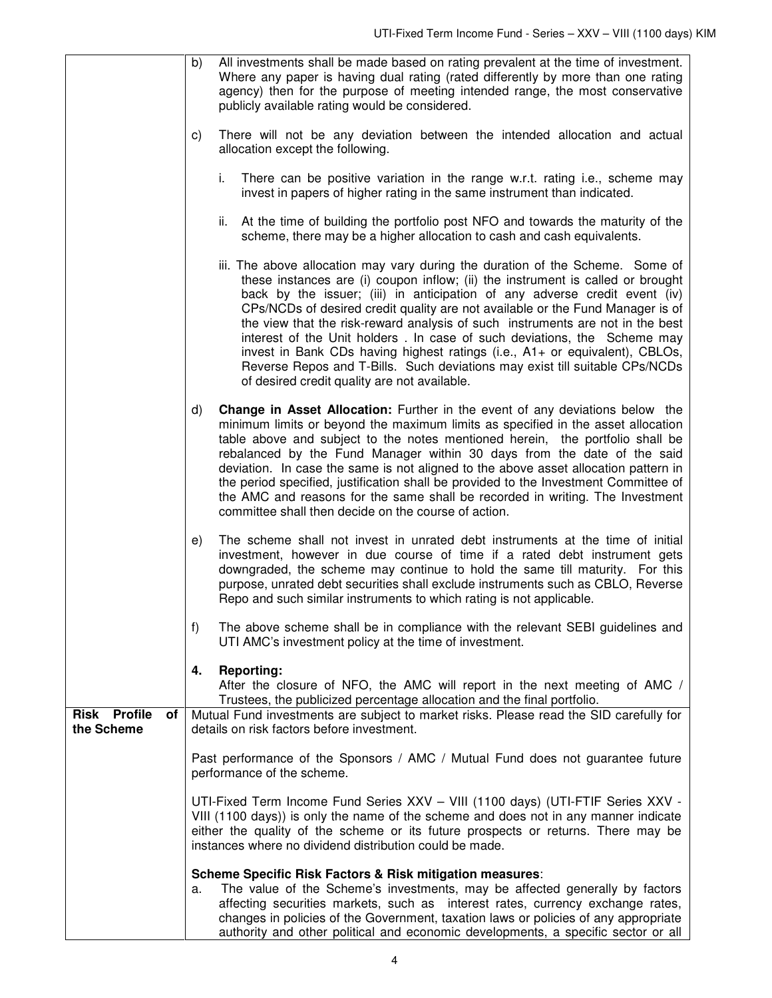|                                         | All investments shall be made based on rating prevalent at the time of investment.<br>b)<br>Where any paper is having dual rating (rated differently by more than one rating<br>agency) then for the purpose of meeting intended range, the most conservative<br>publicly available rating would be considered.                                                                                                                                                                                                                                                                                                                                                                                              |  |
|-----------------------------------------|--------------------------------------------------------------------------------------------------------------------------------------------------------------------------------------------------------------------------------------------------------------------------------------------------------------------------------------------------------------------------------------------------------------------------------------------------------------------------------------------------------------------------------------------------------------------------------------------------------------------------------------------------------------------------------------------------------------|--|
|                                         | There will not be any deviation between the intended allocation and actual<br>C)<br>allocation except the following.                                                                                                                                                                                                                                                                                                                                                                                                                                                                                                                                                                                         |  |
|                                         | There can be positive variation in the range w.r.t. rating i.e., scheme may<br>i.<br>invest in papers of higher rating in the same instrument than indicated.                                                                                                                                                                                                                                                                                                                                                                                                                                                                                                                                                |  |
|                                         | ii. At the time of building the portfolio post NFO and towards the maturity of the<br>scheme, there may be a higher allocation to cash and cash equivalents.                                                                                                                                                                                                                                                                                                                                                                                                                                                                                                                                                 |  |
|                                         | iii. The above allocation may vary during the duration of the Scheme. Some of<br>these instances are (i) coupon inflow; (ii) the instrument is called or brought<br>back by the issuer; (iii) in anticipation of any adverse credit event (iv)<br>CPs/NCDs of desired credit quality are not available or the Fund Manager is of<br>the view that the risk-reward analysis of such instruments are not in the best<br>interest of the Unit holders. In case of such deviations, the Scheme may<br>invest in Bank CDs having highest ratings (i.e., A1+ or equivalent), CBLOs,<br>Reverse Repos and T-Bills. Such deviations may exist till suitable CPs/NCDs<br>of desired credit quality are not available. |  |
|                                         | <b>Change in Asset Allocation:</b> Further in the event of any deviations below the<br>d)<br>minimum limits or beyond the maximum limits as specified in the asset allocation<br>table above and subject to the notes mentioned herein, the portfolio shall be<br>rebalanced by the Fund Manager within 30 days from the date of the said<br>deviation. In case the same is not aligned to the above asset allocation pattern in<br>the period specified, justification shall be provided to the Investment Committee of<br>the AMC and reasons for the same shall be recorded in writing. The Investment<br>committee shall then decide on the course of action.                                            |  |
|                                         | The scheme shall not invest in unrated debt instruments at the time of initial<br>e)<br>investment, however in due course of time if a rated debt instrument gets<br>downgraded, the scheme may continue to hold the same till maturity. For this<br>purpose, unrated debt securities shall exclude instruments such as CBLO, Reverse<br>Repo and such similar instruments to which rating is not applicable.                                                                                                                                                                                                                                                                                                |  |
|                                         | f)<br>The above scheme shall be in compliance with the relevant SEBI guidelines and<br>UTI AMC's investment policy at the time of investment.                                                                                                                                                                                                                                                                                                                                                                                                                                                                                                                                                                |  |
|                                         | 4.<br><b>Reporting:</b><br>After the closure of NFO, the AMC will report in the next meeting of AMC /<br>Trustees, the publicized percentage allocation and the final portfolio.                                                                                                                                                                                                                                                                                                                                                                                                                                                                                                                             |  |
| <b>Risk Profile</b><br>оf<br>the Scheme | Mutual Fund investments are subject to market risks. Please read the SID carefully for<br>details on risk factors before investment.                                                                                                                                                                                                                                                                                                                                                                                                                                                                                                                                                                         |  |
|                                         |                                                                                                                                                                                                                                                                                                                                                                                                                                                                                                                                                                                                                                                                                                              |  |
|                                         | Past performance of the Sponsors / AMC / Mutual Fund does not guarantee future<br>performance of the scheme.                                                                                                                                                                                                                                                                                                                                                                                                                                                                                                                                                                                                 |  |
|                                         | UTI-Fixed Term Income Fund Series XXV - VIII (1100 days) (UTI-FTIF Series XXV -<br>VIII (1100 days)) is only the name of the scheme and does not in any manner indicate<br>either the quality of the scheme or its future prospects or returns. There may be<br>instances where no dividend distribution could be made.                                                                                                                                                                                                                                                                                                                                                                                      |  |
|                                         | Scheme Specific Risk Factors & Risk mitigation measures:<br>The value of the Scheme's investments, may be affected generally by factors<br>а.<br>affecting securities markets, such as interest rates, currency exchange rates,<br>changes in policies of the Government, taxation laws or policies of any appropriate<br>authority and other political and economic developments, a specific sector or all                                                                                                                                                                                                                                                                                                  |  |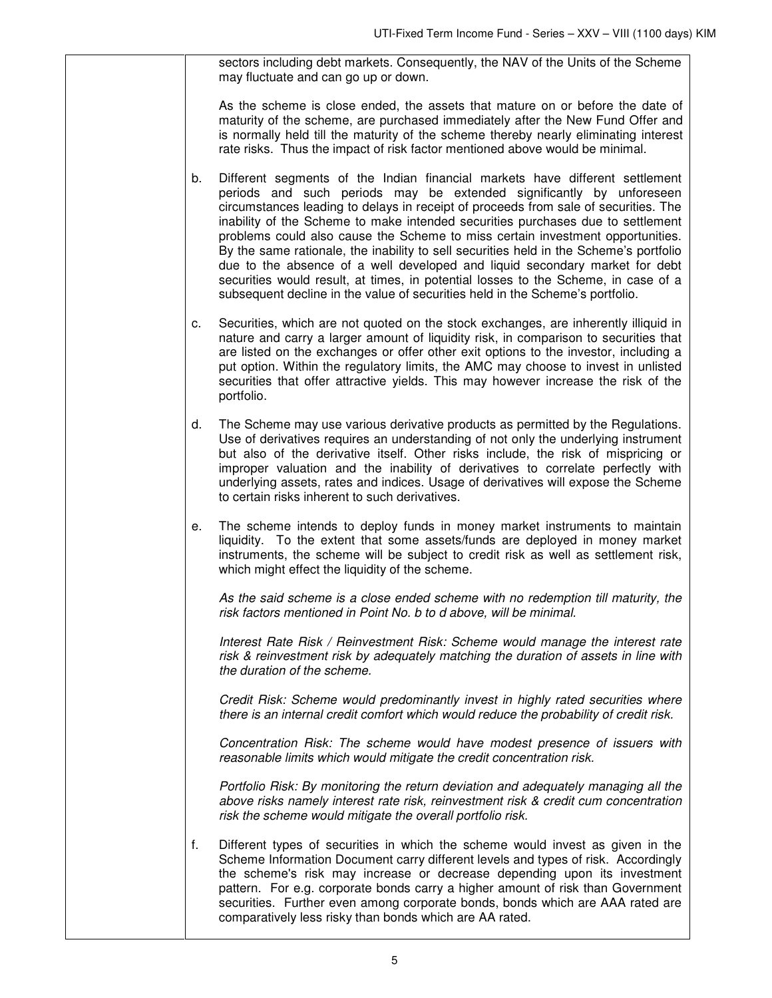sectors including debt markets. Consequently, the NAV of the Units of the Scheme may fluctuate and can go up or down.

As the scheme is close ended, the assets that mature on or before the date of maturity of the scheme, are purchased immediately after the New Fund Offer and is normally held till the maturity of the scheme thereby nearly eliminating interest rate risks. Thus the impact of risk factor mentioned above would be minimal.

- b. Different segments of the Indian financial markets have different settlement periods and such periods may be extended significantly by unforeseen circumstances leading to delays in receipt of proceeds from sale of securities. The inability of the Scheme to make intended securities purchases due to settlement problems could also cause the Scheme to miss certain investment opportunities. By the same rationale, the inability to sell securities held in the Scheme's portfolio due to the absence of a well developed and liquid secondary market for debt securities would result, at times, in potential losses to the Scheme, in case of a subsequent decline in the value of securities held in the Scheme's portfolio.
- c. Securities, which are not quoted on the stock exchanges, are inherently illiquid in nature and carry a larger amount of liquidity risk, in comparison to securities that are listed on the exchanges or offer other exit options to the investor, including a put option. Within the regulatory limits, the AMC may choose to invest in unlisted securities that offer attractive yields. This may however increase the risk of the portfolio.
- d. The Scheme may use various derivative products as permitted by the Regulations. Use of derivatives requires an understanding of not only the underlying instrument but also of the derivative itself. Other risks include, the risk of mispricing or improper valuation and the inability of derivatives to correlate perfectly with underlying assets, rates and indices. Usage of derivatives will expose the Scheme to certain risks inherent to such derivatives.
- e. The scheme intends to deploy funds in money market instruments to maintain liquidity. To the extent that some assets/funds are deployed in money market instruments, the scheme will be subject to credit risk as well as settlement risk, which might effect the liquidity of the scheme.

As the said scheme is a close ended scheme with no redemption till maturity, the risk factors mentioned in Point No. b to d above, will be minimal.

 Interest Rate Risk / Reinvestment Risk: Scheme would manage the interest rate risk & reinvestment risk by adequately matching the duration of assets in line with the duration of the scheme.

 Credit Risk: Scheme would predominantly invest in highly rated securities where there is an internal credit comfort which would reduce the probability of credit risk.

 Concentration Risk: The scheme would have modest presence of issuers with reasonable limits which would mitigate the credit concentration risk.

 Portfolio Risk: By monitoring the return deviation and adequately managing all the above risks namely interest rate risk, reinvestment risk & credit cum concentration risk the scheme would mitigate the overall portfolio risk.

f. Different types of securities in which the scheme would invest as given in the Scheme Information Document carry different levels and types of risk. Accordingly the scheme's risk may increase or decrease depending upon its investment pattern. For e.g. corporate bonds carry a higher amount of risk than Government securities. Further even among corporate bonds, bonds which are AAA rated are comparatively less risky than bonds which are AA rated.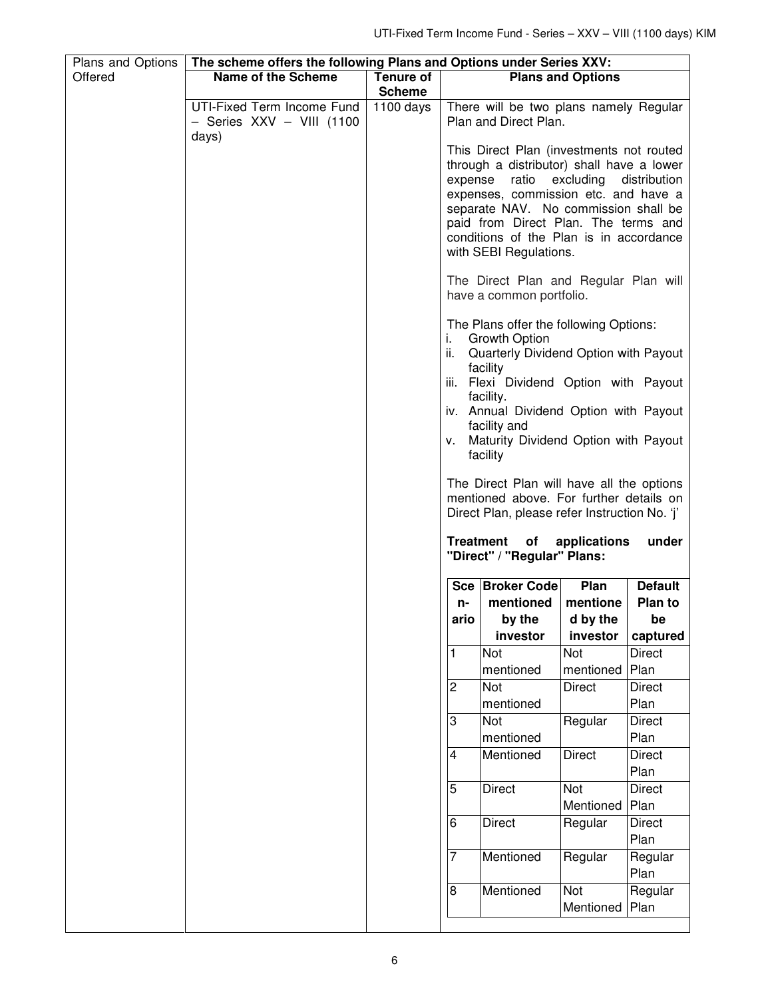| Plans and Options | The scheme offers the following Plans and Options under Series XXV: |                        |                  |                                                                                                                                                                                                                                                                                                                                              |                          |                       |
|-------------------|---------------------------------------------------------------------|------------------------|------------------|----------------------------------------------------------------------------------------------------------------------------------------------------------------------------------------------------------------------------------------------------------------------------------------------------------------------------------------------|--------------------------|-----------------------|
| Offered           | <b>Name of the Scheme</b>                                           | <b>Tenure of</b>       |                  |                                                                                                                                                                                                                                                                                                                                              | <b>Plans and Options</b> |                       |
|                   |                                                                     | <b>Scheme</b>          |                  |                                                                                                                                                                                                                                                                                                                                              |                          |                       |
|                   | UTI-Fixed Term Income Fund<br>- Series XXV - VIII (1100<br>days)    | $\overline{11}00$ days |                  | There will be two plans namely Regular<br>Plan and Direct Plan.                                                                                                                                                                                                                                                                              |                          |                       |
|                   |                                                                     |                        | expense          | This Direct Plan (investments not routed<br>through a distributor) shall have a lower<br>ratio excluding<br>expenses, commission etc. and have a<br>separate NAV. No commission shall be<br>paid from Direct Plan. The terms and<br>conditions of the Plan is in accordance<br>with SEBI Regulations.                                        |                          | distribution          |
|                   |                                                                     |                        |                  | The Direct Plan and Regular Plan will<br>have a common portfolio.                                                                                                                                                                                                                                                                            |                          |                       |
|                   |                                                                     |                        | i.               | The Plans offer the following Options:<br><b>Growth Option</b><br>ii. Quarterly Dividend Option with Payout<br>facility<br>iii. Flexi Dividend Option with Payout<br>facility.<br>iv. Annual Dividend Option with Payout<br>facility and<br>v. Maturity Dividend Option with Payout<br>facility<br>The Direct Plan will have all the options |                          |                       |
|                   |                                                                     |                        | <b>Treatment</b> | mentioned above. For further details on<br>Direct Plan, please refer Instruction No. 'j'<br>of                                                                                                                                                                                                                                               | applications             | under                 |
|                   |                                                                     |                        |                  | "Direct" / "Regular" Plans:                                                                                                                                                                                                                                                                                                                  |                          |                       |
|                   |                                                                     |                        |                  |                                                                                                                                                                                                                                                                                                                                              |                          |                       |
|                   |                                                                     |                        |                  | Sce   Broker Code                                                                                                                                                                                                                                                                                                                            | Plan                     | <b>Default</b>        |
|                   |                                                                     |                        | n-               | mentioned                                                                                                                                                                                                                                                                                                                                    | mentione                 | Plan to               |
|                   |                                                                     |                        | ario             | by the                                                                                                                                                                                                                                                                                                                                       | d by the                 | be                    |
|                   |                                                                     |                        |                  | investor                                                                                                                                                                                                                                                                                                                                     | investor                 | captured              |
|                   |                                                                     |                        | 1                | Not                                                                                                                                                                                                                                                                                                                                          | Not                      | <b>Direct</b>         |
|                   |                                                                     |                        |                  | mentioned                                                                                                                                                                                                                                                                                                                                    | mentioned                | Plan                  |
|                   |                                                                     |                        | $\sqrt{2}$       | Not                                                                                                                                                                                                                                                                                                                                          | <b>Direct</b>            | <b>Direct</b>         |
|                   |                                                                     |                        |                  | mentioned                                                                                                                                                                                                                                                                                                                                    |                          | Plan                  |
|                   |                                                                     |                        | 3                | Not                                                                                                                                                                                                                                                                                                                                          | Regular                  | <b>Direct</b>         |
|                   |                                                                     |                        |                  | mentioned                                                                                                                                                                                                                                                                                                                                    |                          | Plan                  |
|                   |                                                                     |                        | 4                | Mentioned                                                                                                                                                                                                                                                                                                                                    | <b>Direct</b>            | <b>Direct</b><br>Plan |
|                   |                                                                     |                        | 5                | <b>Direct</b>                                                                                                                                                                                                                                                                                                                                | Not<br>Mentioned         | <b>Direct</b><br>Plan |
|                   |                                                                     |                        | 6                | <b>Direct</b>                                                                                                                                                                                                                                                                                                                                | Regular                  | <b>Direct</b><br>Plan |
|                   |                                                                     |                        | 7                | Mentioned                                                                                                                                                                                                                                                                                                                                    | Regular                  | Regular<br>Plan       |
|                   |                                                                     |                        | $\bf 8$          | Mentioned                                                                                                                                                                                                                                                                                                                                    | Not                      | Regular               |
|                   |                                                                     |                        |                  |                                                                                                                                                                                                                                                                                                                                              | Mentioned                | Plan                  |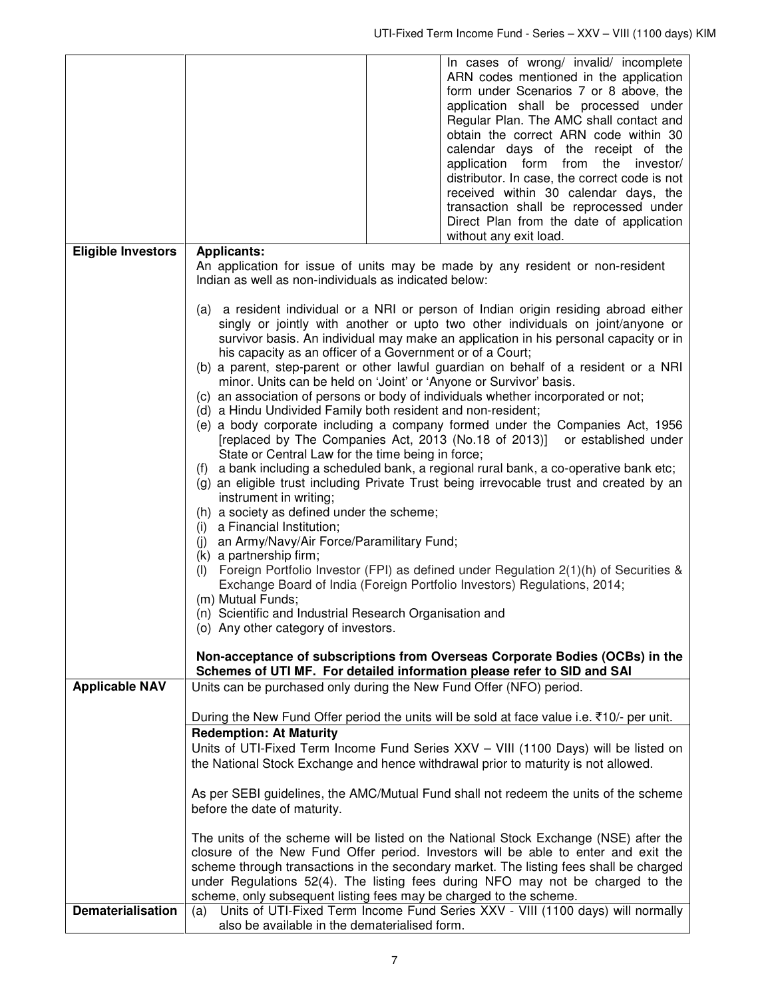|                           |                                                                                                                                                                                                                                                                                                                                                                                                                                                                                                                                                                                                                                                                                                                                                                                                                                                                                                                                                                                                                                                                                                                                                                                                                                                                                                                                                                                                                                                                                                                                                                                                                                     |  | In cases of wrong/ invalid/ incomplete<br>ARN codes mentioned in the application<br>form under Scenarios 7 or 8 above, the<br>application shall be processed under<br>Regular Plan. The AMC shall contact and<br>obtain the correct ARN code within 30<br>calendar days of the receipt of the<br>application form from the investor/<br>distributor. In case, the correct code is not<br>received within 30 calendar days, the<br>transaction shall be reprocessed under<br>Direct Plan from the date of application<br>without any exit load.                                                                                                                                                                             |
|---------------------------|-------------------------------------------------------------------------------------------------------------------------------------------------------------------------------------------------------------------------------------------------------------------------------------------------------------------------------------------------------------------------------------------------------------------------------------------------------------------------------------------------------------------------------------------------------------------------------------------------------------------------------------------------------------------------------------------------------------------------------------------------------------------------------------------------------------------------------------------------------------------------------------------------------------------------------------------------------------------------------------------------------------------------------------------------------------------------------------------------------------------------------------------------------------------------------------------------------------------------------------------------------------------------------------------------------------------------------------------------------------------------------------------------------------------------------------------------------------------------------------------------------------------------------------------------------------------------------------------------------------------------------------|--|----------------------------------------------------------------------------------------------------------------------------------------------------------------------------------------------------------------------------------------------------------------------------------------------------------------------------------------------------------------------------------------------------------------------------------------------------------------------------------------------------------------------------------------------------------------------------------------------------------------------------------------------------------------------------------------------------------------------------|
| <b>Eligible Investors</b> | <b>Applicants:</b><br>Indian as well as non-individuals as indicated below:                                                                                                                                                                                                                                                                                                                                                                                                                                                                                                                                                                                                                                                                                                                                                                                                                                                                                                                                                                                                                                                                                                                                                                                                                                                                                                                                                                                                                                                                                                                                                         |  | An application for issue of units may be made by any resident or non-resident                                                                                                                                                                                                                                                                                                                                                                                                                                                                                                                                                                                                                                              |
|                           | (a) a resident individual or a NRI or person of Indian origin residing abroad either<br>singly or jointly with another or upto two other individuals on joint/anyone or<br>survivor basis. An individual may make an application in his personal capacity or in<br>his capacity as an officer of a Government or of a Court;<br>(b) a parent, step-parent or other lawful guardian on behalf of a resident or a NRI<br>minor. Units can be held on 'Joint' or 'Anyone or Survivor' basis.<br>(c) an association of persons or body of individuals whether incorporated or not;<br>(d) a Hindu Undivided Family both resident and non-resident;<br>(e) a body corporate including a company formed under the Companies Act, 1956<br>[replaced by The Companies Act, 2013 (No.18 of 2013)]<br>or established under<br>State or Central Law for the time being in force;<br>a bank including a scheduled bank, a regional rural bank, a co-operative bank etc;<br>(f)<br>(g) an eligible trust including Private Trust being irrevocable trust and created by an<br>instrument in writing;<br>(h) a society as defined under the scheme;<br>(i) a Financial Institution;<br>(j) an Army/Navy/Air Force/Paramilitary Fund;<br>(k) a partnership firm;<br>(I) Foreign Portfolio Investor (FPI) as defined under Regulation $2(1)(h)$ of Securities &<br>Exchange Board of India (Foreign Portfolio Investors) Regulations, 2014;<br>(m) Mutual Funds;<br>(n) Scientific and Industrial Research Organisation and<br>(o) Any other category of investors.<br>Non-acceptance of subscriptions from Overseas Corporate Bodies (OCBs) in the |  |                                                                                                                                                                                                                                                                                                                                                                                                                                                                                                                                                                                                                                                                                                                            |
| <b>Applicable NAV</b>     | Units can be purchased only during the New Fund Offer (NFO) period.                                                                                                                                                                                                                                                                                                                                                                                                                                                                                                                                                                                                                                                                                                                                                                                                                                                                                                                                                                                                                                                                                                                                                                                                                                                                                                                                                                                                                                                                                                                                                                 |  | Schemes of UTI MF. For detailed information please refer to SID and SAI                                                                                                                                                                                                                                                                                                                                                                                                                                                                                                                                                                                                                                                    |
|                           | <b>Redemption: At Maturity</b><br>before the date of maturity.<br>scheme, only subsequent listing fees may be charged to the scheme.                                                                                                                                                                                                                                                                                                                                                                                                                                                                                                                                                                                                                                                                                                                                                                                                                                                                                                                                                                                                                                                                                                                                                                                                                                                                                                                                                                                                                                                                                                |  | During the New Fund Offer period the units will be sold at face value i.e. ₹10/- per unit.<br>Units of UTI-Fixed Term Income Fund Series XXV - VIII (1100 Days) will be listed on<br>the National Stock Exchange and hence withdrawal prior to maturity is not allowed.<br>As per SEBI guidelines, the AMC/Mutual Fund shall not redeem the units of the scheme<br>The units of the scheme will be listed on the National Stock Exchange (NSE) after the<br>closure of the New Fund Offer period. Investors will be able to enter and exit the<br>scheme through transactions in the secondary market. The listing fees shall be charged<br>under Regulations 52(4). The listing fees during NFO may not be charged to the |
| <b>Dematerialisation</b>  | (a)<br>also be available in the dematerialised form.                                                                                                                                                                                                                                                                                                                                                                                                                                                                                                                                                                                                                                                                                                                                                                                                                                                                                                                                                                                                                                                                                                                                                                                                                                                                                                                                                                                                                                                                                                                                                                                |  | Units of UTI-Fixed Term Income Fund Series XXV - VIII (1100 days) will normally                                                                                                                                                                                                                                                                                                                                                                                                                                                                                                                                                                                                                                            |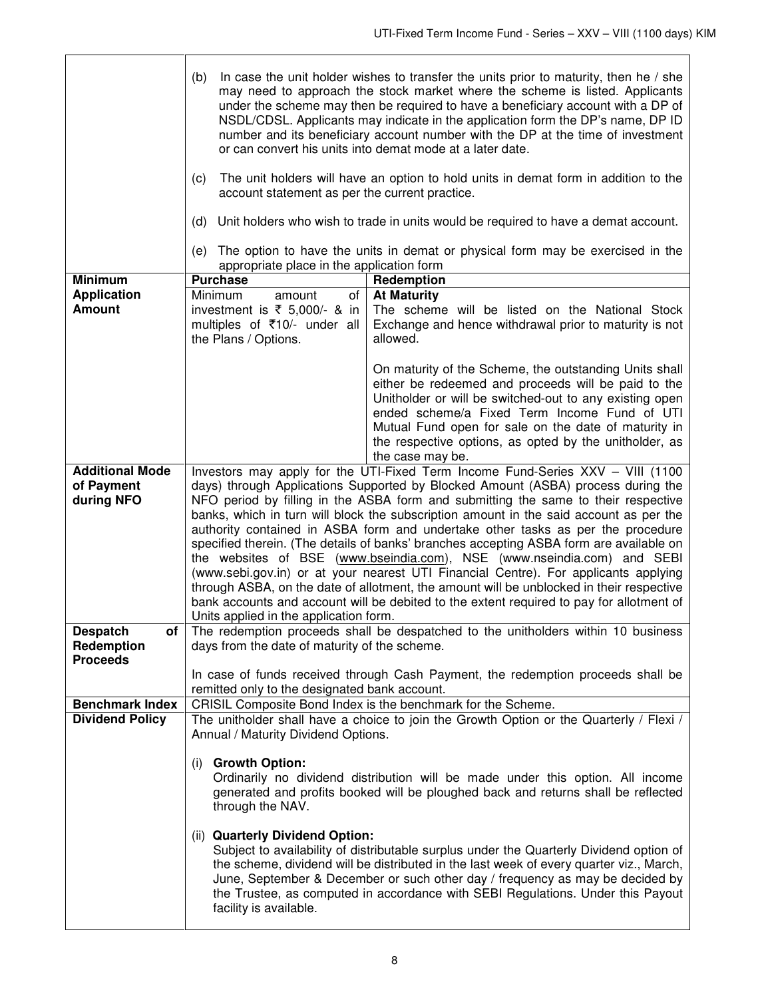|                                     | In case the unit holder wishes to transfer the units prior to maturity, then he / she<br>(b)<br>may need to approach the stock market where the scheme is listed. Applicants<br>under the scheme may then be required to have a beneficiary account with a DP of<br>NSDL/CDSL. Applicants may indicate in the application form the DP's name, DP ID<br>number and its beneficiary account number with the DP at the time of investment<br>or can convert his units into demat mode at a later date.<br>The unit holders will have an option to hold units in demat form in addition to the<br>(c)<br>account statement as per the current practice.<br>Unit holders who wish to trade in units would be required to have a demat account.<br>(d)                                                                                                   |                                                                                                                                                                                                                                                                                                                                                                |  |
|-------------------------------------|----------------------------------------------------------------------------------------------------------------------------------------------------------------------------------------------------------------------------------------------------------------------------------------------------------------------------------------------------------------------------------------------------------------------------------------------------------------------------------------------------------------------------------------------------------------------------------------------------------------------------------------------------------------------------------------------------------------------------------------------------------------------------------------------------------------------------------------------------|----------------------------------------------------------------------------------------------------------------------------------------------------------------------------------------------------------------------------------------------------------------------------------------------------------------------------------------------------------------|--|
|                                     | The option to have the units in demat or physical form may be exercised in the<br>(e)<br>appropriate place in the application form                                                                                                                                                                                                                                                                                                                                                                                                                                                                                                                                                                                                                                                                                                                 |                                                                                                                                                                                                                                                                                                                                                                |  |
| <b>Minimum</b>                      | <b>Purchase</b>                                                                                                                                                                                                                                                                                                                                                                                                                                                                                                                                                                                                                                                                                                                                                                                                                                    |                                                                                                                                                                                                                                                                                                                                                                |  |
|                                     |                                                                                                                                                                                                                                                                                                                                                                                                                                                                                                                                                                                                                                                                                                                                                                                                                                                    | Redemption                                                                                                                                                                                                                                                                                                                                                     |  |
| <b>Application</b><br><b>Amount</b> | Minimum<br>of<br>amount<br>investment is $\overline{\xi}$ 5,000/- & in<br>multiples of ₹10/- under all<br>the Plans / Options.                                                                                                                                                                                                                                                                                                                                                                                                                                                                                                                                                                                                                                                                                                                     | <b>At Maturity</b><br>The scheme will be listed on the National Stock<br>Exchange and hence withdrawal prior to maturity is not<br>allowed.                                                                                                                                                                                                                    |  |
|                                     |                                                                                                                                                                                                                                                                                                                                                                                                                                                                                                                                                                                                                                                                                                                                                                                                                                                    | On maturity of the Scheme, the outstanding Units shall<br>either be redeemed and proceeds will be paid to the<br>Unitholder or will be switched-out to any existing open<br>ended scheme/a Fixed Term Income Fund of UTI<br>Mutual Fund open for sale on the date of maturity in<br>the respective options, as opted by the unitholder, as<br>the case may be. |  |
| <b>Additional Mode</b>              |                                                                                                                                                                                                                                                                                                                                                                                                                                                                                                                                                                                                                                                                                                                                                                                                                                                    | Investors may apply for the UTI-Fixed Term Income Fund-Series XXV - VIII (1100                                                                                                                                                                                                                                                                                 |  |
| of Payment                          |                                                                                                                                                                                                                                                                                                                                                                                                                                                                                                                                                                                                                                                                                                                                                                                                                                                    |                                                                                                                                                                                                                                                                                                                                                                |  |
| during NFO                          | days) through Applications Supported by Blocked Amount (ASBA) process during the<br>NFO period by filling in the ASBA form and submitting the same to their respective<br>banks, which in turn will block the subscription amount in the said account as per the<br>authority contained in ASBA form and undertake other tasks as per the procedure<br>specified therein. (The details of banks' branches accepting ASBA form are available on<br>the websites of BSE (www.bseindia.com), NSE (www.nseindia.com) and SEBI<br>(www.sebi.gov.in) or at your nearest UTI Financial Centre). For applicants applying<br>through ASBA, on the date of allotment, the amount will be unblocked in their respective<br>bank accounts and account will be debited to the extent required to pay for allotment of<br>Units applied in the application form. |                                                                                                                                                                                                                                                                                                                                                                |  |
| <b>Despatch</b><br>of               | The redemption proceeds shall be despatched to the unitholders within 10 business                                                                                                                                                                                                                                                                                                                                                                                                                                                                                                                                                                                                                                                                                                                                                                  |                                                                                                                                                                                                                                                                                                                                                                |  |
| Redemption<br><b>Proceeds</b>       | days from the date of maturity of the scheme.                                                                                                                                                                                                                                                                                                                                                                                                                                                                                                                                                                                                                                                                                                                                                                                                      |                                                                                                                                                                                                                                                                                                                                                                |  |
|                                     | In case of funds received through Cash Payment, the redemption proceeds shall be<br>remitted only to the designated bank account.                                                                                                                                                                                                                                                                                                                                                                                                                                                                                                                                                                                                                                                                                                                  |                                                                                                                                                                                                                                                                                                                                                                |  |
| <b>Benchmark Index</b>              | CRISIL Composite Bond Index is the benchmark for the Scheme.                                                                                                                                                                                                                                                                                                                                                                                                                                                                                                                                                                                                                                                                                                                                                                                       |                                                                                                                                                                                                                                                                                                                                                                |  |
| <b>Dividend Policy</b>              | The unitholder shall have a choice to join the Growth Option or the Quarterly / Flexi /<br>Annual / Maturity Dividend Options.                                                                                                                                                                                                                                                                                                                                                                                                                                                                                                                                                                                                                                                                                                                     |                                                                                                                                                                                                                                                                                                                                                                |  |
|                                     | <b>Growth Option:</b><br>(i)<br>Ordinarily no dividend distribution will be made under this option. All income<br>generated and profits booked will be ploughed back and returns shall be reflected<br>through the NAV.                                                                                                                                                                                                                                                                                                                                                                                                                                                                                                                                                                                                                            |                                                                                                                                                                                                                                                                                                                                                                |  |
|                                     | (ii) Quarterly Dividend Option:<br>Subject to availability of distributable surplus under the Quarterly Dividend option of<br>the scheme, dividend will be distributed in the last week of every quarter viz., March,<br>June, September & December or such other day / frequency as may be decided by<br>the Trustee, as computed in accordance with SEBI Regulations. Under this Payout<br>facility is available.                                                                                                                                                                                                                                                                                                                                                                                                                                |                                                                                                                                                                                                                                                                                                                                                                |  |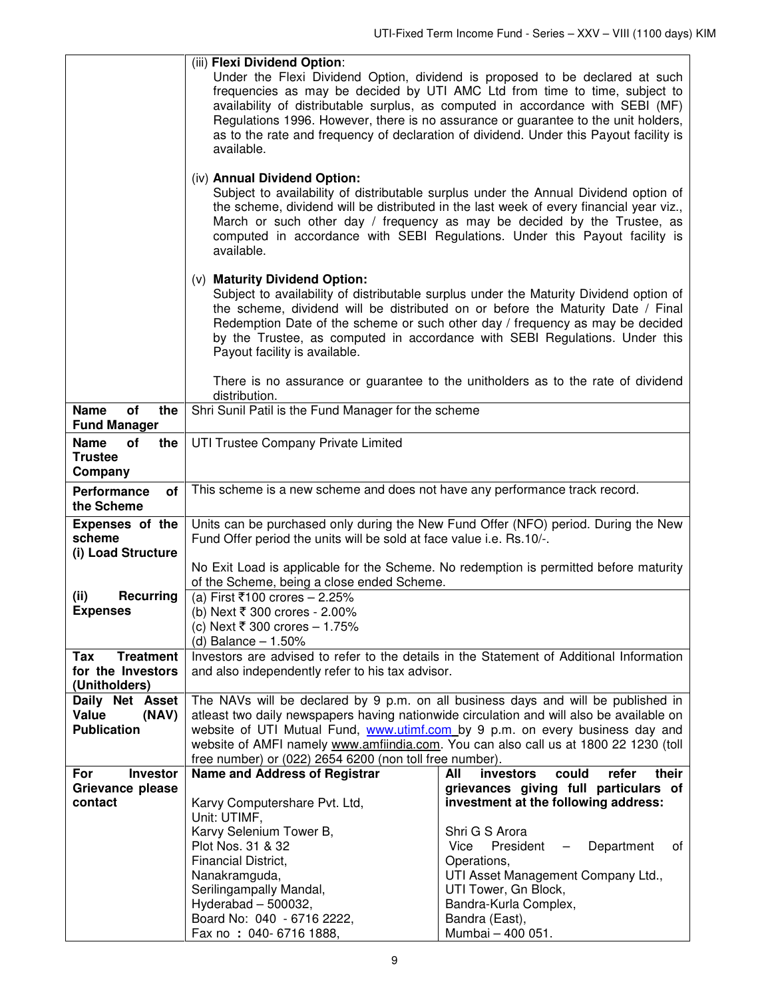|                                                               | (iii) Flexi Dividend Option:<br>Under the Flexi Dividend Option, dividend is proposed to be declared at such<br>frequencies as may be decided by UTI AMC Ltd from time to time, subject to<br>availability of distributable surplus, as computed in accordance with SEBI (MF)<br>Regulations 1996. However, there is no assurance or guarantee to the unit holders,<br>as to the rate and frequency of declaration of dividend. Under this Payout facility is<br>available. |                                                            |  |  |
|---------------------------------------------------------------|-----------------------------------------------------------------------------------------------------------------------------------------------------------------------------------------------------------------------------------------------------------------------------------------------------------------------------------------------------------------------------------------------------------------------------------------------------------------------------|------------------------------------------------------------|--|--|
|                                                               | (iv) Annual Dividend Option:<br>Subject to availability of distributable surplus under the Annual Dividend option of<br>the scheme, dividend will be distributed in the last week of every financial year viz.,<br>March or such other day / frequency as may be decided by the Trustee, as<br>computed in accordance with SEBI Regulations. Under this Payout facility is<br>available.                                                                                    |                                                            |  |  |
|                                                               | (v) Maturity Dividend Option:<br>Subject to availability of distributable surplus under the Maturity Dividend option of<br>the scheme, dividend will be distributed on or before the Maturity Date / Final<br>Redemption Date of the scheme or such other day / frequency as may be decided<br>by the Trustee, as computed in accordance with SEBI Regulations. Under this<br>Payout facility is available.                                                                 |                                                            |  |  |
|                                                               | There is no assurance or guarantee to the unitholders as to the rate of dividend<br>distribution.                                                                                                                                                                                                                                                                                                                                                                           |                                                            |  |  |
| <b>Name</b><br>$o\bar{f}$<br>the<br><b>Fund Manager</b>       | Shri Sunil Patil is the Fund Manager for the scheme                                                                                                                                                                                                                                                                                                                                                                                                                         |                                                            |  |  |
| <b>Name</b><br>the<br>οf<br><b>Trustee</b><br>Company         | UTI Trustee Company Private Limited                                                                                                                                                                                                                                                                                                                                                                                                                                         |                                                            |  |  |
| Performance<br>of<br>the Scheme                               | This scheme is a new scheme and does not have any performance track record.                                                                                                                                                                                                                                                                                                                                                                                                 |                                                            |  |  |
| Expenses of the<br>scheme<br>(i) Load Structure               | Units can be purchased only during the New Fund Offer (NFO) period. During the New<br>Fund Offer period the units will be sold at face value i.e. Rs.10/-.                                                                                                                                                                                                                                                                                                                  |                                                            |  |  |
|                                                               | No Exit Load is applicable for the Scheme. No redemption is permitted before maturity<br>of the Scheme, being a close ended Scheme.                                                                                                                                                                                                                                                                                                                                         |                                                            |  |  |
| <b>Recurring</b><br>(ii)<br><b>Expenses</b>                   | (a) First ₹100 crores - 2.25%<br>(b) Next ₹ 300 crores - 2.00%<br>(c) Next ₹ 300 crores – 1.75%<br>(d) Balance $-1.50%$                                                                                                                                                                                                                                                                                                                                                     |                                                            |  |  |
| <b>Treatment</b><br>Tax<br>for the Investors<br>(Unitholders) | Investors are advised to refer to the details in the Statement of Additional Information<br>and also independently refer to his tax advisor.                                                                                                                                                                                                                                                                                                                                |                                                            |  |  |
| Daily Net Asset                                               | The NAVs will be declared by 9 p.m. on all business days and will be published in                                                                                                                                                                                                                                                                                                                                                                                           |                                                            |  |  |
| Value<br>(NAV)<br><b>Publication</b>                          | atleast two daily newspapers having nationwide circulation and will also be available on<br>website of UTI Mutual Fund, www.utimf.com by 9 p.m. on every business day and<br>website of AMFI namely www.amfiindia.com. You can also call us at 1800 22 1230 (toll                                                                                                                                                                                                           |                                                            |  |  |
| For<br><b>Investor</b>                                        | free number) or (022) 2654 6200 (non toll free number).<br>Name and Address of Registrar                                                                                                                                                                                                                                                                                                                                                                                    | All<br>investors<br>could<br>their<br>refer                |  |  |
| Grievance please                                              |                                                                                                                                                                                                                                                                                                                                                                                                                                                                             | grievances giving full particulars of                      |  |  |
| contact                                                       | Karvy Computershare Pvt. Ltd,<br>Unit: UTIMF,                                                                                                                                                                                                                                                                                                                                                                                                                               | investment at the following address:                       |  |  |
|                                                               | Karvy Selenium Tower B,                                                                                                                                                                                                                                                                                                                                                                                                                                                     | Shri G S Arora                                             |  |  |
|                                                               | Plot Nos. 31 & 32                                                                                                                                                                                                                                                                                                                                                                                                                                                           | President<br>Department<br>Vice<br>of<br>$\qquad \qquad -$ |  |  |
|                                                               | Financial District,<br>Nanakramguda,                                                                                                                                                                                                                                                                                                                                                                                                                                        | Operations,<br>UTI Asset Management Company Ltd.,          |  |  |
|                                                               | Serilingampally Mandal,                                                                                                                                                                                                                                                                                                                                                                                                                                                     | UTI Tower, Gn Block,                                       |  |  |
|                                                               | Hyderabad $-500032$ ,                                                                                                                                                                                                                                                                                                                                                                                                                                                       | Bandra-Kurla Complex,                                      |  |  |
|                                                               | Board No: 040 - 6716 2222,                                                                                                                                                                                                                                                                                                                                                                                                                                                  | Bandra (East),                                             |  |  |
|                                                               | Fax no: 040-6716 1888,                                                                                                                                                                                                                                                                                                                                                                                                                                                      | Mumbai - 400 051.                                          |  |  |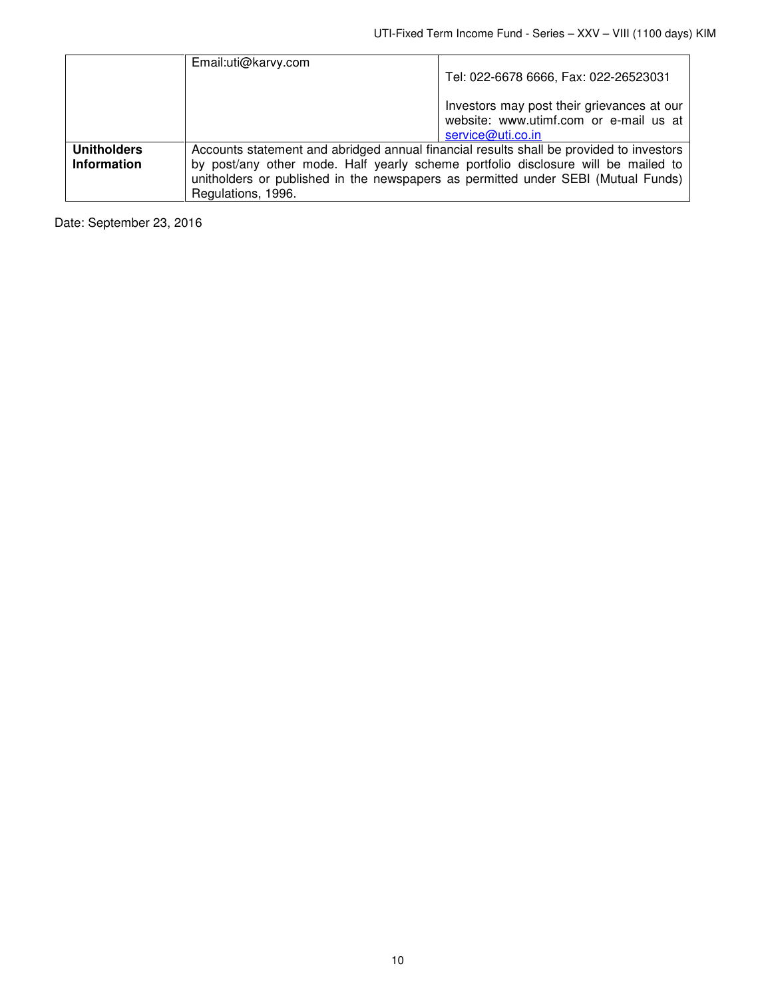|                    | Email:uti@karvy.com                                                               |                                                                                         |  |
|--------------------|-----------------------------------------------------------------------------------|-----------------------------------------------------------------------------------------|--|
|                    |                                                                                   | Tel: 022-6678 6666, Fax: 022-26523031                                                   |  |
|                    |                                                                                   |                                                                                         |  |
|                    |                                                                                   | Investors may post their grievances at our                                              |  |
|                    |                                                                                   | website: www.utimf.com or e-mail us at                                                  |  |
|                    |                                                                                   | service@uti.co.in                                                                       |  |
| <b>Unitholders</b> |                                                                                   | Accounts statement and abridged annual financial results shall be provided to investors |  |
| <b>Information</b> | by post/any other mode. Half yearly scheme portfolio disclosure will be mailed to |                                                                                         |  |
|                    | unitholders or published in the newspapers as permitted under SEBI (Mutual Funds) |                                                                                         |  |
|                    | Regulations, 1996.                                                                |                                                                                         |  |

Date: September 23, 2016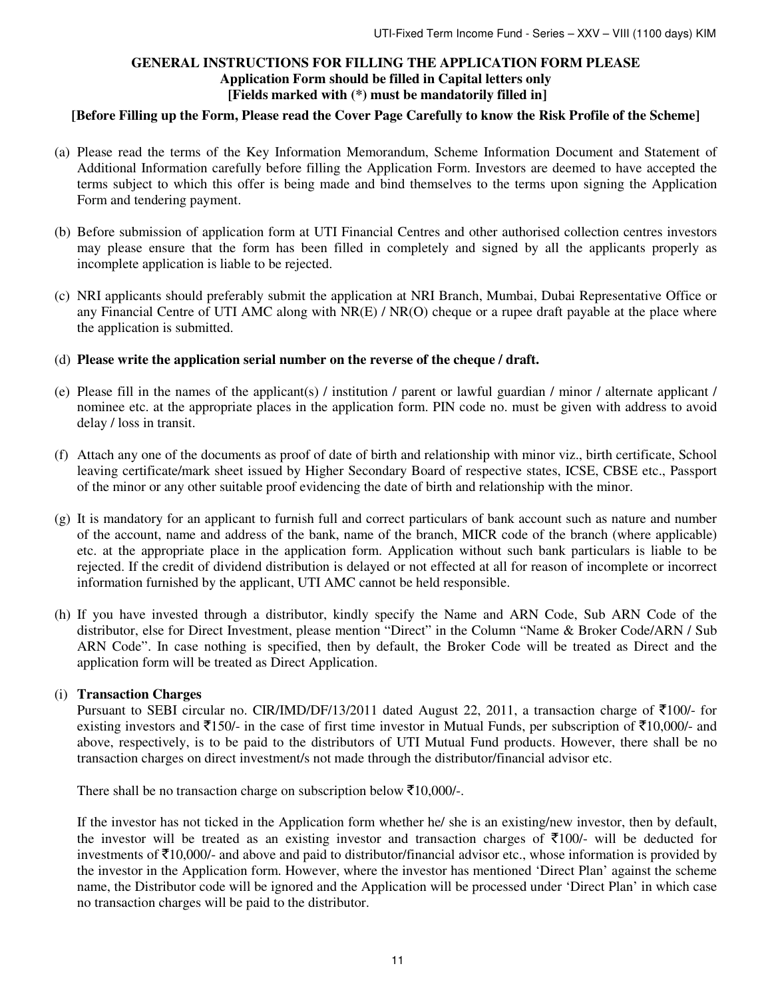# **GENERAL INSTRUCTIONS FOR FILLING THE APPLICATION FORM PLEASE Application Form should be filled in Capital letters only [Fields marked with (\*) must be mandatorily filled in]**

## **[Before Filling up the Form, Please read the Cover Page Carefully to know the Risk Profile of the Scheme]**

- (a) Please read the terms of the Key Information Memorandum, Scheme Information Document and Statement of Additional Information carefully before filling the Application Form. Investors are deemed to have accepted the terms subject to which this offer is being made and bind themselves to the terms upon signing the Application Form and tendering payment.
- (b) Before submission of application form at UTI Financial Centres and other authorised collection centres investors may please ensure that the form has been filled in completely and signed by all the applicants properly as incomplete application is liable to be rejected.
- (c) NRI applicants should preferably submit the application at NRI Branch, Mumbai, Dubai Representative Office or any Financial Centre of UTI AMC along with NR(E) / NR(O) cheque or a rupee draft payable at the place where the application is submitted.
- (d) **Please write the application serial number on the reverse of the cheque / draft.**
- (e) Please fill in the names of the applicant(s) / institution / parent or lawful guardian / minor / alternate applicant / nominee etc. at the appropriate places in the application form. PIN code no. must be given with address to avoid delay / loss in transit.
- (f) Attach any one of the documents as proof of date of birth and relationship with minor viz., birth certificate, School leaving certificate/mark sheet issued by Higher Secondary Board of respective states, ICSE, CBSE etc., Passport of the minor or any other suitable proof evidencing the date of birth and relationship with the minor.
- (g) It is mandatory for an applicant to furnish full and correct particulars of bank account such as nature and number of the account, name and address of the bank, name of the branch, MICR code of the branch (where applicable) etc. at the appropriate place in the application form. Application without such bank particulars is liable to be rejected. If the credit of dividend distribution is delayed or not effected at all for reason of incomplete or incorrect information furnished by the applicant, UTI AMC cannot be held responsible.
- (h) If you have invested through a distributor, kindly specify the Name and ARN Code, Sub ARN Code of the distributor, else for Direct Investment, please mention "Direct" in the Column "Name & Broker Code/ARN / Sub ARN Code". In case nothing is specified, then by default, the Broker Code will be treated as Direct and the application form will be treated as Direct Application.

## (i) **Transaction Charges**

Pursuant to SEBI circular no. CIR/IMD/DF/13/2011 dated August 22, 2011, a transaction charge of  $\overline{\tau}100/-$  for existing investors and  $\bar{\tau}$ 150/- in the case of first time investor in Mutual Funds, per subscription of  $\bar{\tau}$ 10,000/- and above, respectively, is to be paid to the distributors of UTI Mutual Fund products. However, there shall be no transaction charges on direct investment/s not made through the distributor/financial advisor etc.

There shall be no transaction charge on subscription below  $\bar{\mathfrak{Z}}10,000$ /-.

If the investor has not ticked in the Application form whether he/ she is an existing/new investor, then by default, the investor will be treated as an existing investor and transaction charges of  $\overline{(}100/-$  will be deducted for investments of  $\bar{\tau}$ 10,000/- and above and paid to distributor/financial advisor etc., whose information is provided by the investor in the Application form. However, where the investor has mentioned 'Direct Plan' against the scheme name, the Distributor code will be ignored and the Application will be processed under 'Direct Plan' in which case no transaction charges will be paid to the distributor.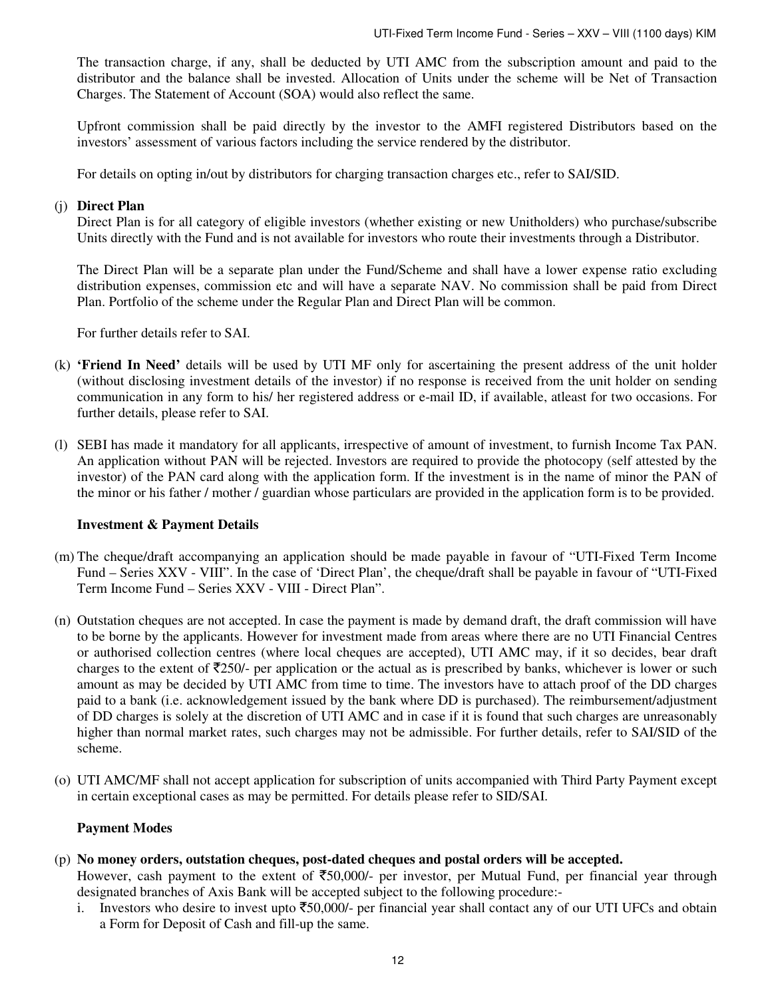The transaction charge, if any, shall be deducted by UTI AMC from the subscription amount and paid to the distributor and the balance shall be invested. Allocation of Units under the scheme will be Net of Transaction Charges. The Statement of Account (SOA) would also reflect the same.

Upfront commission shall be paid directly by the investor to the AMFI registered Distributors based on the investors' assessment of various factors including the service rendered by the distributor.

For details on opting in/out by distributors for charging transaction charges etc., refer to SAI/SID.

## (j) **Direct Plan**

Direct Plan is for all category of eligible investors (whether existing or new Unitholders) who purchase/subscribe Units directly with the Fund and is not available for investors who route their investments through a Distributor.

The Direct Plan will be a separate plan under the Fund/Scheme and shall have a lower expense ratio excluding distribution expenses, commission etc and will have a separate NAV. No commission shall be paid from Direct Plan. Portfolio of the scheme under the Regular Plan and Direct Plan will be common.

For further details refer to SAI.

- (k) **'Friend In Need'** details will be used by UTI MF only for ascertaining the present address of the unit holder (without disclosing investment details of the investor) if no response is received from the unit holder on sending communication in any form to his/ her registered address or e-mail ID, if available, atleast for two occasions. For further details, please refer to SAI.
- (l) SEBI has made it mandatory for all applicants, irrespective of amount of investment, to furnish Income Tax PAN. An application without PAN will be rejected. Investors are required to provide the photocopy (self attested by the investor) of the PAN card along with the application form. If the investment is in the name of minor the PAN of the minor or his father / mother / guardian whose particulars are provided in the application form is to be provided.

#### **Investment & Payment Details**

- (m) The cheque/draft accompanying an application should be made payable in favour of "UTI-Fixed Term Income Fund – Series XXV - VIII". In the case of 'Direct Plan', the cheque/draft shall be payable in favour of "UTI-Fixed Term Income Fund – Series XXV - VIII - Direct Plan".
- (n) Outstation cheques are not accepted. In case the payment is made by demand draft, the draft commission will have to be borne by the applicants. However for investment made from areas where there are no UTI Financial Centres or authorised collection centres (where local cheques are accepted), UTI AMC may, if it so decides, bear draft charges to the extent of  $\overline{2}250/$ - per application or the actual as is prescribed by banks, whichever is lower or such amount as may be decided by UTI AMC from time to time. The investors have to attach proof of the DD charges paid to a bank (i.e. acknowledgement issued by the bank where DD is purchased). The reimbursement/adjustment of DD charges is solely at the discretion of UTI AMC and in case if it is found that such charges are unreasonably higher than normal market rates, such charges may not be admissible. For further details, refer to SAI/SID of the scheme.
- (o) UTI AMC/MF shall not accept application for subscription of units accompanied with Third Party Payment except in certain exceptional cases as may be permitted. For details please refer to SID/SAI.

## **Payment Modes**

(p) **No money orders, outstation cheques, post-dated cheques and postal orders will be accepted.** 

However, cash payment to the extent of  $\overline{50,000/}$ - per investor, per Mutual Fund, per financial year through designated branches of Axis Bank will be accepted subject to the following procedure:-

i. Investors who desire to invest upto  $\overline{50,000}$ - per financial year shall contact any of our UTI UFCs and obtain a Form for Deposit of Cash and fill-up the same.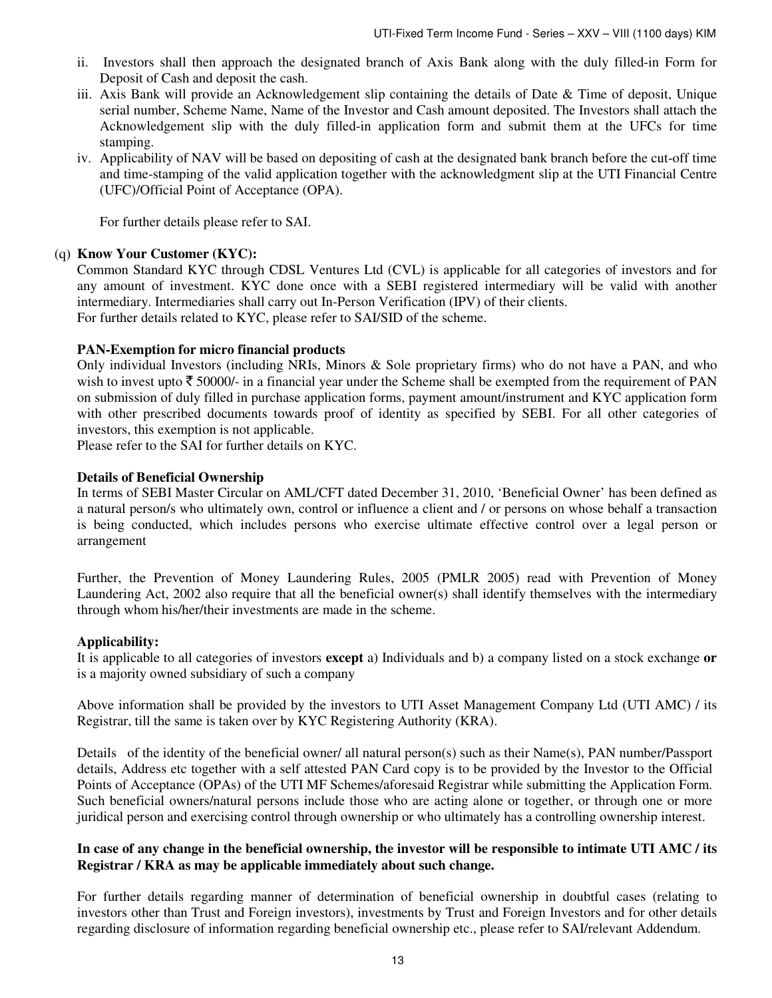- ii. Investors shall then approach the designated branch of Axis Bank along with the duly filled-in Form for Deposit of Cash and deposit the cash.
- iii. Axis Bank will provide an Acknowledgement slip containing the details of Date & Time of deposit, Unique serial number, Scheme Name, Name of the Investor and Cash amount deposited. The Investors shall attach the Acknowledgement slip with the duly filled-in application form and submit them at the UFCs for time stamping.
- iv. Applicability of NAV will be based on depositing of cash at the designated bank branch before the cut-off time and time-stamping of the valid application together with the acknowledgment slip at the UTI Financial Centre (UFC)/Official Point of Acceptance (OPA).

For further details please refer to SAI.

## (q) **Know Your Customer (KYC):**

Common Standard KYC through CDSL Ventures Ltd (CVL) is applicable for all categories of investors and for any amount of investment. KYC done once with a SEBI registered intermediary will be valid with another intermediary. Intermediaries shall carry out In-Person Verification (IPV) of their clients. For further details related to KYC, please refer to SAI/SID of the scheme.

## **PAN-Exemption for micro financial products**

Only individual Investors (including NRIs, Minors & Sole proprietary firms) who do not have a PAN, and who wish to invest upto  $\bar{\tau}$  50000/- in a financial year under the Scheme shall be exempted from the requirement of PAN on submission of duly filled in purchase application forms, payment amount/instrument and KYC application form with other prescribed documents towards proof of identity as specified by SEBI. For all other categories of investors, this exemption is not applicable.

Please refer to the SAI for further details on KYC.

## **Details of Beneficial Ownership**

In terms of SEBI Master Circular on AML/CFT dated December 31, 2010, 'Beneficial Owner' has been defined as a natural person/s who ultimately own, control or influence a client and / or persons on whose behalf a transaction is being conducted, which includes persons who exercise ultimate effective control over a legal person or arrangement

Further, the Prevention of Money Laundering Rules, 2005 (PMLR 2005) read with Prevention of Money Laundering Act, 2002 also require that all the beneficial owner(s) shall identify themselves with the intermediary through whom his/her/their investments are made in the scheme.

#### **Applicability:**

It is applicable to all categories of investors **except** a) Individuals and b) a company listed on a stock exchange **or**  is a majority owned subsidiary of such a company

Above information shall be provided by the investors to UTI Asset Management Company Ltd (UTI AMC) / its Registrar, till the same is taken over by KYC Registering Authority (KRA).

Details of the identity of the beneficial owner/ all natural person(s) such as their Name(s), PAN number/Passport details, Address etc together with a self attested PAN Card copy is to be provided by the Investor to the Official Points of Acceptance (OPAs) of the UTI MF Schemes/aforesaid Registrar while submitting the Application Form. Such beneficial owners/natural persons include those who are acting alone or together, or through one or more juridical person and exercising control through ownership or who ultimately has a controlling ownership interest.

## **In case of any change in the beneficial ownership, the investor will be responsible to intimate UTI AMC / its Registrar / KRA as may be applicable immediately about such change.**

For further details regarding manner of determination of beneficial ownership in doubtful cases (relating to investors other than Trust and Foreign investors), investments by Trust and Foreign Investors and for other details regarding disclosure of information regarding beneficial ownership etc., please refer to SAI/relevant Addendum.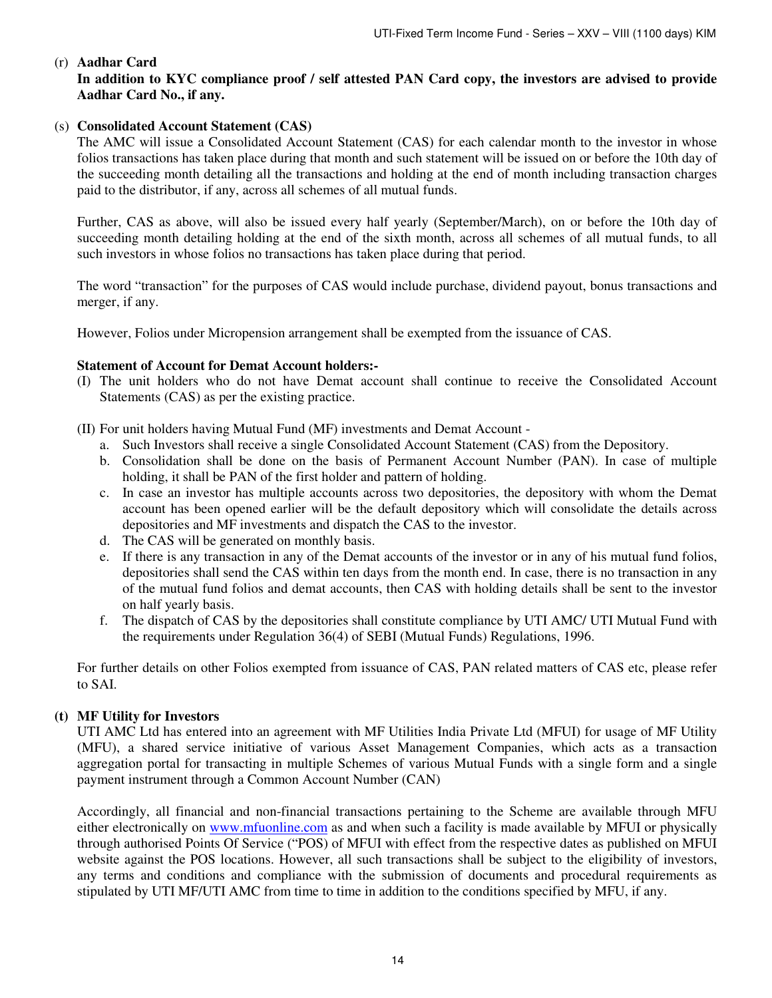# (r) **Aadhar Card**

## **In addition to KYC compliance proof / self attested PAN Card copy, the investors are advised to provide Aadhar Card No., if any.**

## (s) **Consolidated Account Statement (CAS)**

The AMC will issue a Consolidated Account Statement (CAS) for each calendar month to the investor in whose folios transactions has taken place during that month and such statement will be issued on or before the 10th day of the succeeding month detailing all the transactions and holding at the end of month including transaction charges paid to the distributor, if any, across all schemes of all mutual funds.

Further, CAS as above, will also be issued every half yearly (September/March), on or before the 10th day of succeeding month detailing holding at the end of the sixth month, across all schemes of all mutual funds, to all such investors in whose folios no transactions has taken place during that period.

The word "transaction" for the purposes of CAS would include purchase, dividend payout, bonus transactions and merger, if any.

However, Folios under Micropension arrangement shall be exempted from the issuance of CAS.

## **Statement of Account for Demat Account holders:-**

(I) The unit holders who do not have Demat account shall continue to receive the Consolidated Account Statements (CAS) as per the existing practice.

(II) For unit holders having Mutual Fund (MF) investments and Demat Account -

- a. Such Investors shall receive a single Consolidated Account Statement (CAS) from the Depository.
- b. Consolidation shall be done on the basis of Permanent Account Number (PAN). In case of multiple holding, it shall be PAN of the first holder and pattern of holding.
- c. In case an investor has multiple accounts across two depositories, the depository with whom the Demat account has been opened earlier will be the default depository which will consolidate the details across depositories and MF investments and dispatch the CAS to the investor.
- d. The CAS will be generated on monthly basis.
- e. If there is any transaction in any of the Demat accounts of the investor or in any of his mutual fund folios, depositories shall send the CAS within ten days from the month end. In case, there is no transaction in any of the mutual fund folios and demat accounts, then CAS with holding details shall be sent to the investor on half yearly basis.
- f. The dispatch of CAS by the depositories shall constitute compliance by UTI AMC/ UTI Mutual Fund with the requirements under Regulation 36(4) of SEBI (Mutual Funds) Regulations, 1996.

For further details on other Folios exempted from issuance of CAS, PAN related matters of CAS etc, please refer to SAI.

## **(t) MF Utility for Investors**

UTI AMC Ltd has entered into an agreement with MF Utilities India Private Ltd (MFUI) for usage of MF Utility (MFU), a shared service initiative of various Asset Management Companies, which acts as a transaction aggregation portal for transacting in multiple Schemes of various Mutual Funds with a single form and a single payment instrument through a Common Account Number (CAN)

Accordingly, all financial and non-financial transactions pertaining to the Scheme are available through MFU either electronically on www.mfuonline.com as and when such a facility is made available by MFUI or physically through authorised Points Of Service ("POS) of MFUI with effect from the respective dates as published on MFUI website against the POS locations. However, all such transactions shall be subject to the eligibility of investors, any terms and conditions and compliance with the submission of documents and procedural requirements as stipulated by UTI MF/UTI AMC from time to time in addition to the conditions specified by MFU, if any.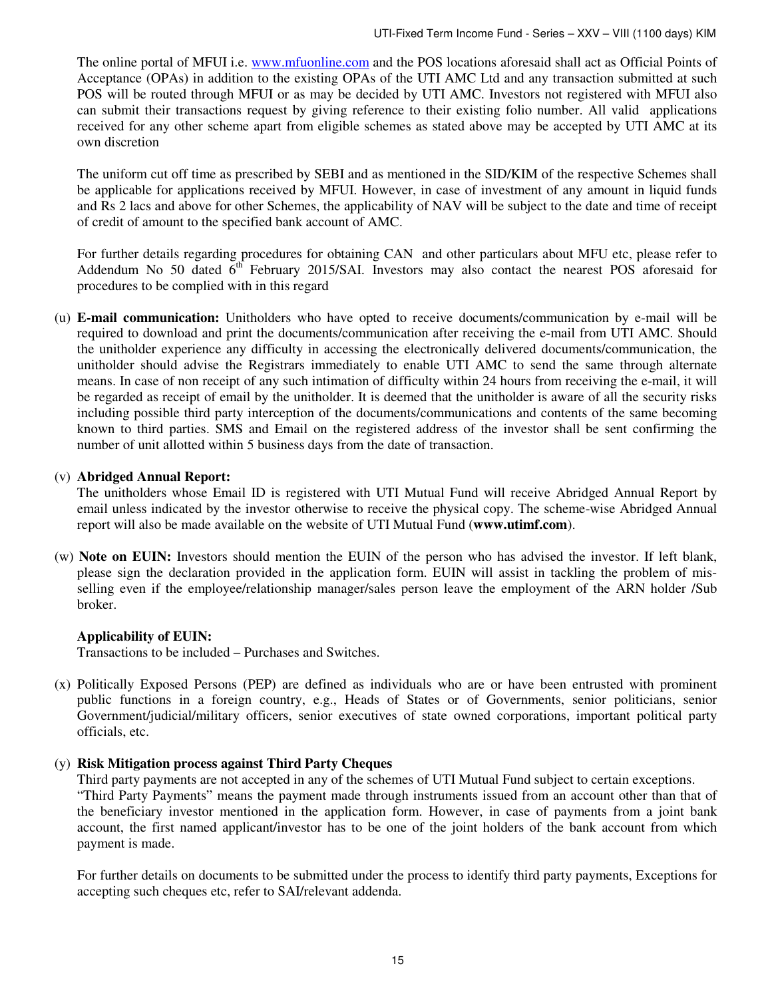The online portal of MFUI i.e. www.mfuonline.com and the POS locations aforesaid shall act as Official Points of Acceptance (OPAs) in addition to the existing OPAs of the UTI AMC Ltd and any transaction submitted at such POS will be routed through MFUI or as may be decided by UTI AMC. Investors not registered with MFUI also can submit their transactions request by giving reference to their existing folio number. All valid applications received for any other scheme apart from eligible schemes as stated above may be accepted by UTI AMC at its own discretion

The uniform cut off time as prescribed by SEBI and as mentioned in the SID/KIM of the respective Schemes shall be applicable for applications received by MFUI. However, in case of investment of any amount in liquid funds and Rs 2 lacs and above for other Schemes, the applicability of NAV will be subject to the date and time of receipt of credit of amount to the specified bank account of AMC.

For further details regarding procedures for obtaining CAN and other particulars about MFU etc, please refer to Addendum No 50 dated  $6<sup>th</sup>$  February 2015/SAI. Investors may also contact the nearest POS aforesaid for procedures to be complied with in this regard

(u) **E-mail communication:** Unitholders who have opted to receive documents/communication by e-mail will be required to download and print the documents/communication after receiving the e-mail from UTI AMC. Should the unitholder experience any difficulty in accessing the electronically delivered documents/communication, the unitholder should advise the Registrars immediately to enable UTI AMC to send the same through alternate means. In case of non receipt of any such intimation of difficulty within 24 hours from receiving the e-mail, it will be regarded as receipt of email by the unitholder. It is deemed that the unitholder is aware of all the security risks including possible third party interception of the documents/communications and contents of the same becoming known to third parties. SMS and Email on the registered address of the investor shall be sent confirming the number of unit allotted within 5 business days from the date of transaction.

## (v) **Abridged Annual Report:**

The unitholders whose Email ID is registered with UTI Mutual Fund will receive Abridged Annual Report by email unless indicated by the investor otherwise to receive the physical copy. The scheme-wise Abridged Annual report will also be made available on the website of UTI Mutual Fund (**www.utimf.com**).

(w) **Note on EUIN:** Investors should mention the EUIN of the person who has advised the investor. If left blank, please sign the declaration provided in the application form. EUIN will assist in tackling the problem of misselling even if the employee/relationship manager/sales person leave the employment of the ARN holder /Sub broker.

## **Applicability of EUIN:**

Transactions to be included – Purchases and Switches.

(x) Politically Exposed Persons (PEP) are defined as individuals who are or have been entrusted with prominent public functions in a foreign country, e.g., Heads of States or of Governments, senior politicians, senior Government/judicial/military officers, senior executives of state owned corporations, important political party officials, etc.

## (y) **Risk Mitigation process against Third Party Cheques**

Third party payments are not accepted in any of the schemes of UTI Mutual Fund subject to certain exceptions. "Third Party Payments" means the payment made through instruments issued from an account other than that of the beneficiary investor mentioned in the application form. However, in case of payments from a joint bank account, the first named applicant/investor has to be one of the joint holders of the bank account from which payment is made.

For further details on documents to be submitted under the process to identify third party payments, Exceptions for accepting such cheques etc, refer to SAI/relevant addenda.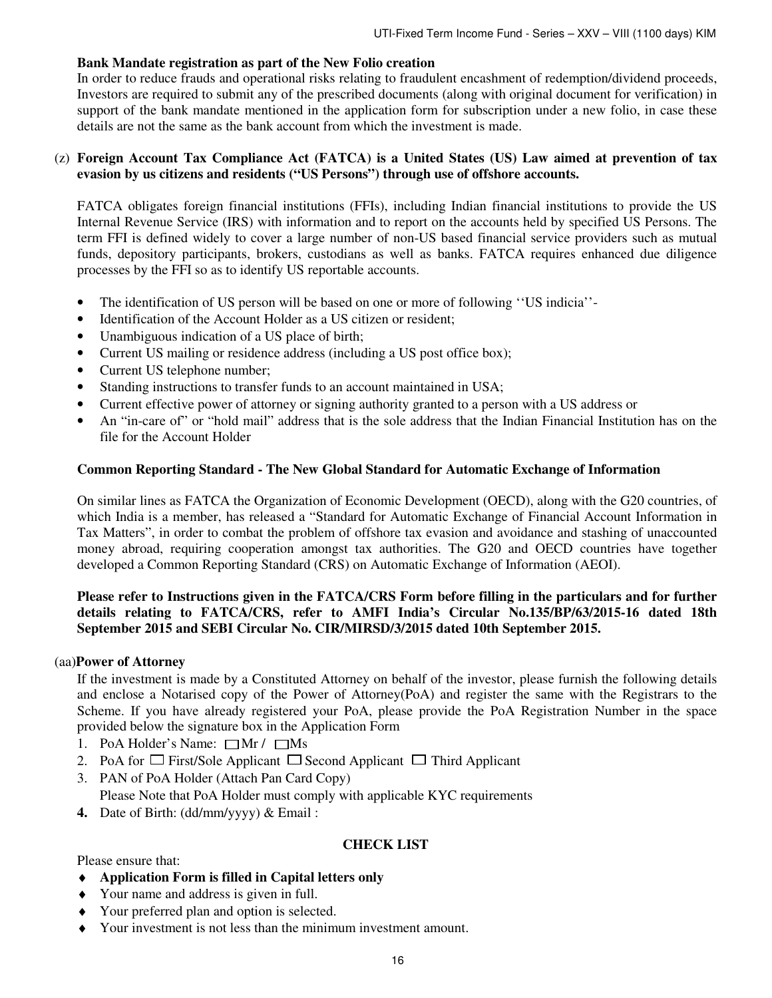## **Bank Mandate registration as part of the New Folio creation**

In order to reduce frauds and operational risks relating to fraudulent encashment of redemption/dividend proceeds, Investors are required to submit any of the prescribed documents (along with original document for verification) in support of the bank mandate mentioned in the application form for subscription under a new folio, in case these details are not the same as the bank account from which the investment is made.

## (z) **Foreign Account Tax Compliance Act (FATCA) is a United States (US) Law aimed at prevention of tax evasion by us citizens and residents ("US Persons") through use of offshore accounts.**

FATCA obligates foreign financial institutions (FFIs), including Indian financial institutions to provide the US Internal Revenue Service (IRS) with information and to report on the accounts held by specified US Persons. The term FFI is defined widely to cover a large number of non-US based financial service providers such as mutual funds, depository participants, brokers, custodians as well as banks. FATCA requires enhanced due diligence processes by the FFI so as to identify US reportable accounts.

- The identification of US person will be based on one or more of following ''US indicia''-
- Identification of the Account Holder as a US citizen or resident;
- Unambiguous indication of a US place of birth;
- Current US mailing or residence address (including a US post office box);
- Current US telephone number;
- Standing instructions to transfer funds to an account maintained in USA;
- Current effective power of attorney or signing authority granted to a person with a US address or
- An "in-care of" or "hold mail" address that is the sole address that the Indian Financial Institution has on the file for the Account Holder

## **Common Reporting Standard - The New Global Standard for Automatic Exchange of Information**

On similar lines as FATCA the Organization of Economic Development (OECD), along with the G20 countries, of which India is a member, has released a "Standard for Automatic Exchange of Financial Account Information in Tax Matters", in order to combat the problem of offshore tax evasion and avoidance and stashing of unaccounted money abroad, requiring cooperation amongst tax authorities. The G20 and OECD countries have together developed a Common Reporting Standard (CRS) on Automatic Exchange of Information (AEOI).

## **Please refer to Instructions given in the FATCA/CRS Form before filling in the particulars and for further details relating to FATCA/CRS, refer to AMFI India's Circular No.135/BP/63/2015-16 dated 18th September 2015 and SEBI Circular No. CIR/MIRSD/3/2015 dated 10th September 2015.**

#### (aa)**Power of Attorney**

 If the investment is made by a Constituted Attorney on behalf of the investor, please furnish the following details and enclose a Notarised copy of the Power of Attorney(PoA) and register the same with the Registrars to the Scheme. If you have already registered your PoA, please provide the PoA Registration Number in the space provided below the signature box in the Application Form

- 1. PoA Holder's Name:  $\Box$ Mr /  $\Box$ Ms
- 2. PoA for  $\Box$  First/Sole Applicant  $\Box$  Second Applicant  $\Box$  Third Applicant
- 3. PAN of PoA Holder (Attach Pan Card Copy)
	- Please Note that PoA Holder must comply with applicable KYC requirements
- **4.** Date of Birth: (dd/mm/yyyy) & Email :

## **CHECK LIST**

Please ensure that:

- ♦ **Application Form is filled in Capital letters only**
- ♦ Your name and address is given in full.
- ♦ Your preferred plan and option is selected.
- ♦ Your investment is not less than the minimum investment amount.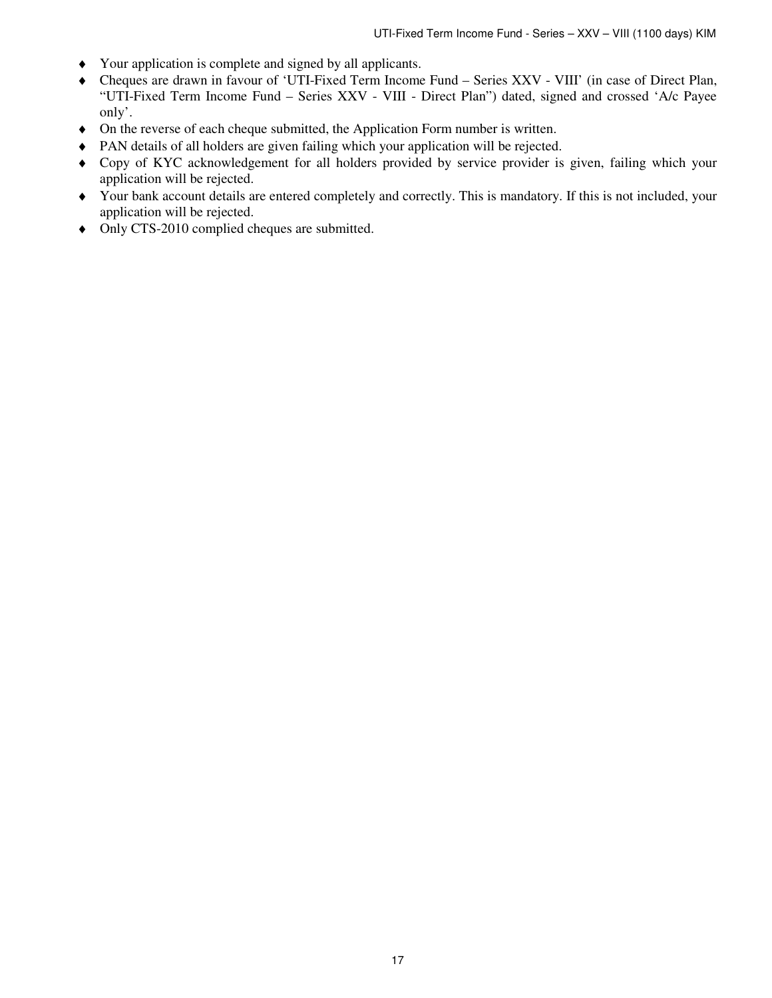- ♦ Your application is complete and signed by all applicants.
- ♦ Cheques are drawn in favour of 'UTI-Fixed Term Income Fund Series XXV VIII' (in case of Direct Plan, "UTI-Fixed Term Income Fund – Series XXV - VIII - Direct Plan") dated, signed and crossed 'A/c Payee only'.
- ♦ On the reverse of each cheque submitted, the Application Form number is written.
- ♦ PAN details of all holders are given failing which your application will be rejected.
- ♦ Copy of KYC acknowledgement for all holders provided by service provider is given, failing which your application will be rejected.
- ♦ Your bank account details are entered completely and correctly. This is mandatory. If this is not included, your application will be rejected.
- ♦ Only CTS-2010 complied cheques are submitted.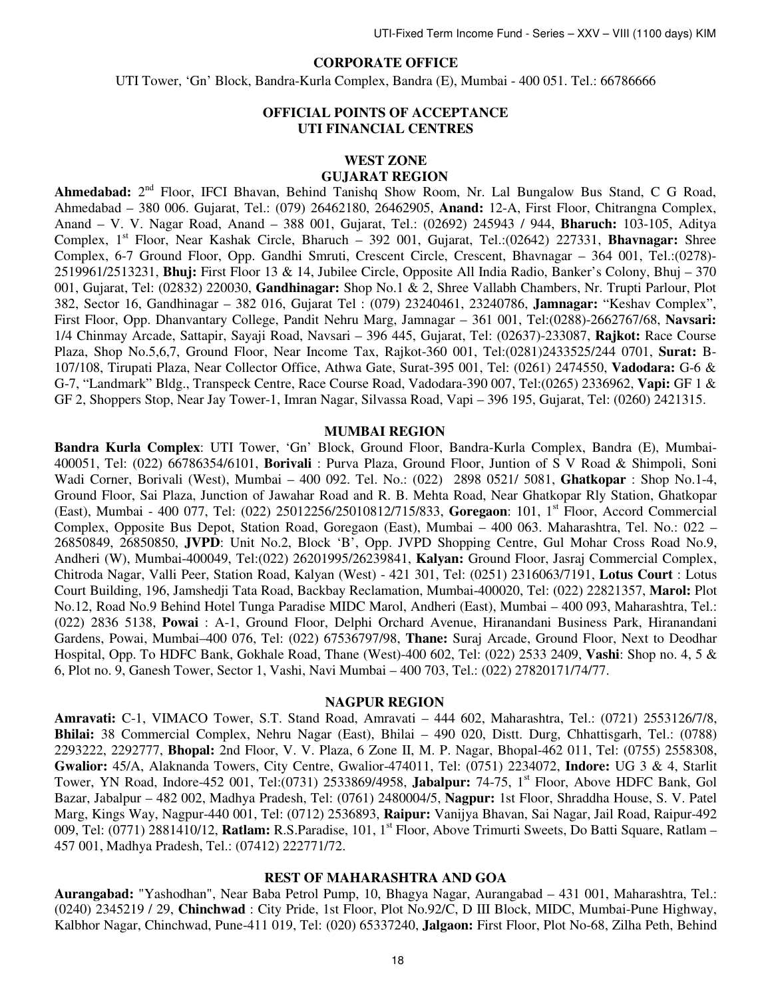## **CORPORATE OFFICE**

UTI Tower, 'Gn' Block, Bandra-Kurla Complex, Bandra (E), Mumbai - 400 051. Tel.: 66786666

## **OFFICIAL POINTS OF ACCEPTANCE UTI FINANCIAL CENTRES**

## **WEST ZONE**

## **GUJARAT REGION**

Ahmedabad: 2<sup>nd</sup> Floor, IFCI Bhavan, Behind Tanishq Show Room, Nr. Lal Bungalow Bus Stand, C G Road, Ahmedabad – 380 006. Gujarat, Tel.: (079) 26462180, 26462905, **Anand:** 12-A, First Floor, Chitrangna Complex, Anand – V. V. Nagar Road, Anand – 388 001, Gujarat, Tel.: (02692) 245943 / 944, **Bharuch:** 103-105, Aditya Complex, 1<sup>st</sup> Floor, Near Kashak Circle, Bharuch – 392 001, Gujarat, Tel.:(02642) 227331, **Bhavnagar:** Shree Complex, 6-7 Ground Floor, Opp. Gandhi Smruti, Crescent Circle, Crescent, Bhavnagar – 364 001, Tel.:(0278)- 2519961/2513231, **Bhuj:** First Floor 13 & 14, Jubilee Circle, Opposite All India Radio, Banker's Colony, Bhuj – 370 001, Gujarat, Tel: (02832) 220030, **Gandhinagar:** Shop No.1 & 2, Shree Vallabh Chambers, Nr. Trupti Parlour, Plot 382, Sector 16, Gandhinagar – 382 016, Gujarat Tel : (079) 23240461, 23240786, **Jamnagar:** "Keshav Complex", First Floor, Opp. Dhanvantary College, Pandit Nehru Marg, Jamnagar – 361 001, Tel:(0288)-2662767/68, **Navsari:** 1/4 Chinmay Arcade, Sattapir, Sayaji Road, Navsari – 396 445, Gujarat, Tel: (02637)-233087, **Rajkot:** Race Course Plaza, Shop No.5,6,7, Ground Floor, Near Income Tax, Rajkot-360 001, Tel:(0281)2433525/244 0701, **Surat:** B-107/108, Tirupati Plaza, Near Collector Office, Athwa Gate, Surat-395 001, Tel: (0261) 2474550, **Vadodara:** G-6 & G-7, "Landmark" Bldg., Transpeck Centre, Race Course Road, Vadodara-390 007, Tel:(0265) 2336962, **Vapi:** GF 1 & GF 2, Shoppers Stop, Near Jay Tower-1, Imran Nagar, Silvassa Road, Vapi – 396 195, Gujarat, Tel: (0260) 2421315.

#### **MUMBAI REGION**

**Bandra Kurla Complex**: UTI Tower, 'Gn' Block, Ground Floor, Bandra-Kurla Complex, Bandra (E), Mumbai-400051, Tel: (022) 66786354/6101, **Borivali** : Purva Plaza, Ground Floor, Juntion of S V Road & Shimpoli, Soni Wadi Corner, Borivali (West), Mumbai – 400 092. Tel. No.: (022) 2898 0521/ 5081, **Ghatkopar** : Shop No.1-4, Ground Floor, Sai Plaza, Junction of Jawahar Road and R. B. Mehta Road, Near Ghatkopar Rly Station, Ghatkopar (East), Mumbai - 400 077, Tel: (022) 25012256/25010812/715/833, **Goregaon**: 101, 1st Floor, Accord Commercial Complex, Opposite Bus Depot, Station Road, Goregaon (East), Mumbai – 400 063. Maharashtra, Tel. No.: 022 – 26850849, 26850850, **JVPD**: Unit No.2, Block 'B', Opp. JVPD Shopping Centre, Gul Mohar Cross Road No.9, Andheri (W), Mumbai-400049, Tel:(022) 26201995/26239841, **Kalyan:** Ground Floor, Jasraj Commercial Complex, Chitroda Nagar, Valli Peer, Station Road, Kalyan (West) - 421 301, Tel: (0251) 2316063/7191, **Lotus Court** : Lotus Court Building, 196, Jamshedji Tata Road, Backbay Reclamation, Mumbai-400020, Tel: (022) 22821357, **Marol:** Plot No.12, Road No.9 Behind Hotel Tunga Paradise MIDC Marol, Andheri (East), Mumbai – 400 093, Maharashtra, Tel.: (022) 2836 5138, **Powai** : A-1, Ground Floor, Delphi Orchard Avenue, Hiranandani Business Park, Hiranandani Gardens, Powai, Mumbai–400 076, Tel: (022) 67536797/98, **Thane:** Suraj Arcade, Ground Floor, Next to Deodhar Hospital, Opp. To HDFC Bank, Gokhale Road, Thane (West)-400 602, Tel: (022) 2533 2409, **Vashi**: Shop no. 4, 5 & 6, Plot no. 9, Ganesh Tower, Sector 1, Vashi, Navi Mumbai – 400 703, Tel.: (022) 27820171/74/77.

#### **NAGPUR REGION**

**Amravati:** C-1, VIMACO Tower, S.T. Stand Road, Amravati – 444 602, Maharashtra, Tel.: (0721) 2553126/7/8, **Bhilai:** 38 Commercial Complex, Nehru Nagar (East), Bhilai – 490 020, Distt. Durg, Chhattisgarh, Tel.: (0788) 2293222, 2292777, **Bhopal:** 2nd Floor, V. V. Plaza, 6 Zone II, M. P. Nagar, Bhopal-462 011, Tel: (0755) 2558308, **Gwalior:** 45/A, Alaknanda Towers, City Centre, Gwalior-474011, Tel: (0751) 2234072, **Indore:** UG 3 & 4, Starlit Tower, YN Road, Indore-452 001, Tel:(0731) 2533869/4958, **Jabalpur:** 74-75, 1<sup>st</sup> Floor, Above HDFC Bank, Gol Bazar, Jabalpur – 482 002, Madhya Pradesh, Tel: (0761) 2480004/5, **Nagpur:** 1st Floor, Shraddha House, S. V. Patel Marg, Kings Way, Nagpur-440 001, Tel: (0712) 2536893, **Raipur:** Vanijya Bhavan, Sai Nagar, Jail Road, Raipur-492 009, Tel: (0771) 2881410/12, **Ratlam:** R.S.Paradise, 101, 1st Floor, Above Trimurti Sweets, Do Batti Square, Ratlam – 457 001, Madhya Pradesh, Tel.: (07412) 222771/72.

#### **REST OF MAHARASHTRA AND GOA**

**Aurangabad:** "Yashodhan", Near Baba Petrol Pump, 10, Bhagya Nagar, Aurangabad – 431 001, Maharashtra, Tel.: (0240) 2345219 / 29, **Chinchwad** : City Pride, 1st Floor, Plot No.92/C, D III Block, MIDC, Mumbai-Pune Highway, Kalbhor Nagar, Chinchwad, Pune-411 019, Tel: (020) 65337240, **Jalgaon:** First Floor, Plot No-68, Zilha Peth, Behind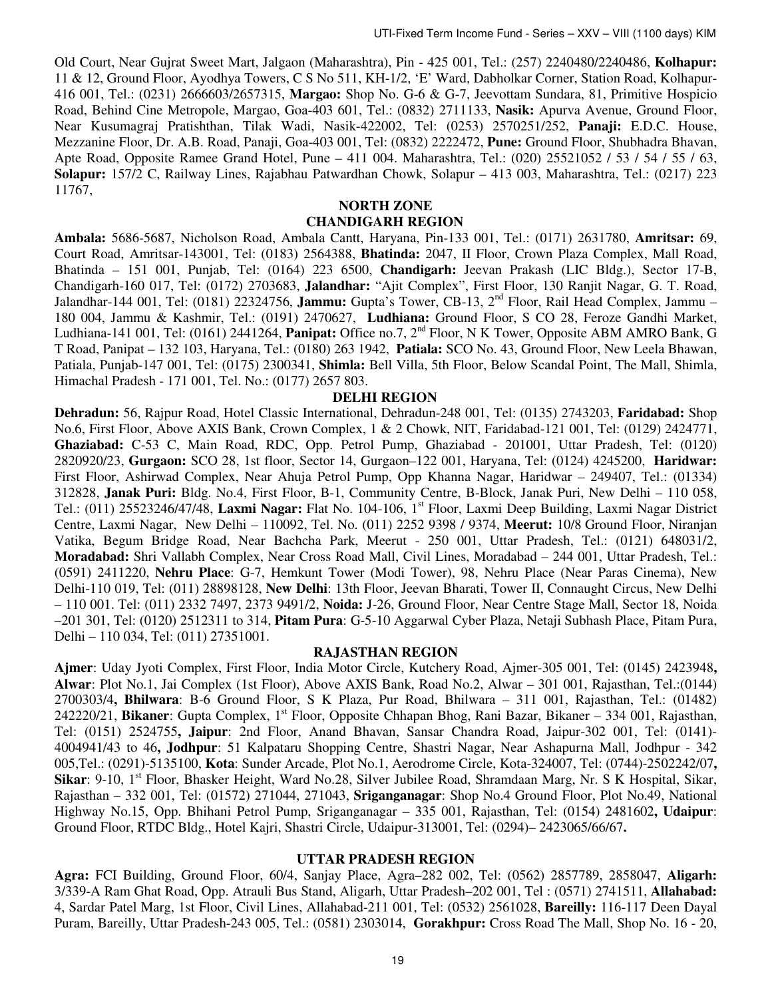Old Court, Near Gujrat Sweet Mart, Jalgaon (Maharashtra), Pin - 425 001, Tel.: (257) 2240480/2240486, **Kolhapur:**  11 & 12, Ground Floor, Ayodhya Towers, C S No 511, KH-1/2, 'E' Ward, Dabholkar Corner, Station Road, Kolhapur-416 001, Tel.: (0231) 2666603/2657315, **Margao:** Shop No. G-6 & G-7, Jeevottam Sundara, 81, Primitive Hospicio Road, Behind Cine Metropole, Margao, Goa-403 601, Tel.: (0832) 2711133, **Nasik:** Apurva Avenue, Ground Floor, Near Kusumagraj Pratishthan, Tilak Wadi, Nasik-422002, Tel: (0253) 2570251/252, **Panaji:** E.D.C. House, Mezzanine Floor, Dr. A.B. Road, Panaji, Goa-403 001, Tel: (0832) 2222472, **Pune:** Ground Floor, Shubhadra Bhavan, Apte Road, Opposite Ramee Grand Hotel, Pune – 411 004. Maharashtra, Tel.: (020) 25521052 / 53 / 54 / 55 / 63, **Solapur:** 157/2 C, Railway Lines, Rajabhau Patwardhan Chowk, Solapur – 413 003, Maharashtra, Tel.: (0217) 223 11767,

#### **NORTH ZONE**

#### **CHANDIGARH REGION**

**Ambala:** 5686-5687, Nicholson Road, Ambala Cantt, Haryana, Pin-133 001, Tel.: (0171) 2631780, **Amritsar:** 69, Court Road, Amritsar-143001, Tel: (0183) 2564388, **Bhatinda:** 2047, II Floor, Crown Plaza Complex, Mall Road, Bhatinda – 151 001, Punjab, Tel: (0164) 223 6500, **Chandigarh:** Jeevan Prakash (LIC Bldg.), Sector 17-B, Chandigarh-160 017, Tel: (0172) 2703683, **Jalandhar:** "Ajit Complex", First Floor, 130 Ranjit Nagar, G. T. Road, Jalandhar-144 001, Tel: (0181) 22324756, **Jammu:** Gupta's Tower, CB-13, 2nd Floor, Rail Head Complex, Jammu – 180 004, Jammu & Kashmir, Tel.: (0191) 2470627, **Ludhiana:** Ground Floor, S CO 28, Feroze Gandhi Market, Ludhiana-141 001, Tel: (0161) 2441264, **Panipat:** Office no.7, 2nd Floor, N K Tower, Opposite ABM AMRO Bank, G T Road, Panipat – 132 103, Haryana, Tel.: (0180) 263 1942, **Patiala:** SCO No. 43, Ground Floor, New Leela Bhawan, Patiala, Punjab-147 001, Tel: (0175) 2300341, **Shimla:** Bell Villa, 5th Floor, Below Scandal Point, The Mall, Shimla, Himachal Pradesh - 171 001, Tel. No.: (0177) 2657 803.

#### **DELHI REGION**

**Dehradun:** 56, Rajpur Road, Hotel Classic International, Dehradun-248 001, Tel: (0135) 2743203, **Faridabad:** Shop No.6, First Floor, Above AXIS Bank, Crown Complex, 1 & 2 Chowk, NIT, Faridabad-121 001, Tel: (0129) 2424771, **Ghaziabad:** C-53 C, Main Road, RDC, Opp. Petrol Pump, Ghaziabad - 201001, Uttar Pradesh, Tel: (0120) 2820920/23, **Gurgaon:** SCO 28, 1st floor, Sector 14, Gurgaon–122 001, Haryana, Tel: (0124) 4245200, **Haridwar:**  First Floor, Ashirwad Complex, Near Ahuja Petrol Pump, Opp Khanna Nagar, Haridwar – 249407, Tel.: (01334) 312828, **Janak Puri:** Bldg. No.4, First Floor, B-1, Community Centre, B-Block, Janak Puri, New Delhi – 110 058, Tel.: (011) 25523246/47/48, **Laxmi Nagar:** Flat No. 104-106, 1st Floor, Laxmi Deep Building, Laxmi Nagar District Centre, Laxmi Nagar, New Delhi – 110092, Tel. No. (011) 2252 9398 / 9374, **Meerut:** 10/8 Ground Floor, Niranjan Vatika, Begum Bridge Road, Near Bachcha Park, Meerut - 250 001, Uttar Pradesh, Tel.: (0121) 648031/2, **Moradabad:** Shri Vallabh Complex, Near Cross Road Mall, Civil Lines, Moradabad – 244 001, Uttar Pradesh, Tel.: (0591) 2411220, **Nehru Place**: G-7, Hemkunt Tower (Modi Tower), 98, Nehru Place (Near Paras Cinema), New Delhi-110 019, Tel: (011) 28898128, **New Delhi**: 13th Floor, Jeevan Bharati, Tower II, Connaught Circus, New Delhi – 110 001. Tel: (011) 2332 7497, 2373 9491/2, **Noida:** J-26, Ground Floor, Near Centre Stage Mall, Sector 18, Noida –201 301, Tel: (0120) 2512311 to 314, **Pitam Pura**: G-5-10 Aggarwal Cyber Plaza, Netaji Subhash Place, Pitam Pura, Delhi – 110 034, Tel: (011) 27351001.

#### **RAJASTHAN REGION**

**Ajmer**: Uday Jyoti Complex, First Floor, India Motor Circle, Kutchery Road, Ajmer-305 001, Tel: (0145) 2423948**, Alwar**: Plot No.1, Jai Complex (1st Floor), Above AXIS Bank, Road No.2, Alwar – 301 001, Rajasthan, Tel.:(0144) 2700303/4**, Bhilwara**: B-6 Ground Floor, S K Plaza, Pur Road, Bhilwara – 311 001, Rajasthan, Tel.: (01482) 242220/21, **Bikaner**: Gupta Complex, 1st Floor, Opposite Chhapan Bhog, Rani Bazar, Bikaner – 334 001, Rajasthan, Tel: (0151) 2524755**, Jaipur**: 2nd Floor, Anand Bhavan, Sansar Chandra Road, Jaipur-302 001, Tel: (0141)- 4004941/43 to 46**, Jodhpur**: 51 Kalpataru Shopping Centre, Shastri Nagar, Near Ashapurna Mall, Jodhpur - 342 005,Tel.: (0291)-5135100, **Kota**: Sunder Arcade, Plot No.1, Aerodrome Circle, Kota-324007, Tel: (0744)-2502242/07**, Sikar**: 9-10, 1<sup>st</sup> Floor, Bhasker Height, Ward No.28, Silver Jubilee Road, Shramdaan Marg, Nr. S K Hospital, Sikar, Rajasthan – 332 001, Tel: (01572) 271044, 271043, **Sriganganagar**: Shop No.4 Ground Floor, Plot No.49, National Highway No.15, Opp. Bhihani Petrol Pump, Sriganganagar – 335 001, Rajasthan, Tel: (0154) 2481602**, Udaipur**: Ground Floor, RTDC Bldg., Hotel Kajri, Shastri Circle, Udaipur-313001, Tel: (0294)– 2423065/66/67**.** 

#### **UTTAR PRADESH REGION**

**Agra:** FCI Building, Ground Floor, 60/4, Sanjay Place, Agra–282 002, Tel: (0562) 2857789, 2858047, **Aligarh:**  3/339-A Ram Ghat Road, Opp. Atrauli Bus Stand, Aligarh, Uttar Pradesh–202 001, Tel : (0571) 2741511, **Allahabad:**  4, Sardar Patel Marg, 1st Floor, Civil Lines, Allahabad-211 001, Tel: (0532) 2561028, **Bareilly:** 116-117 Deen Dayal Puram, Bareilly, Uttar Pradesh-243 005, Tel.: (0581) 2303014, **Gorakhpur:** Cross Road The Mall, Shop No. 16 - 20,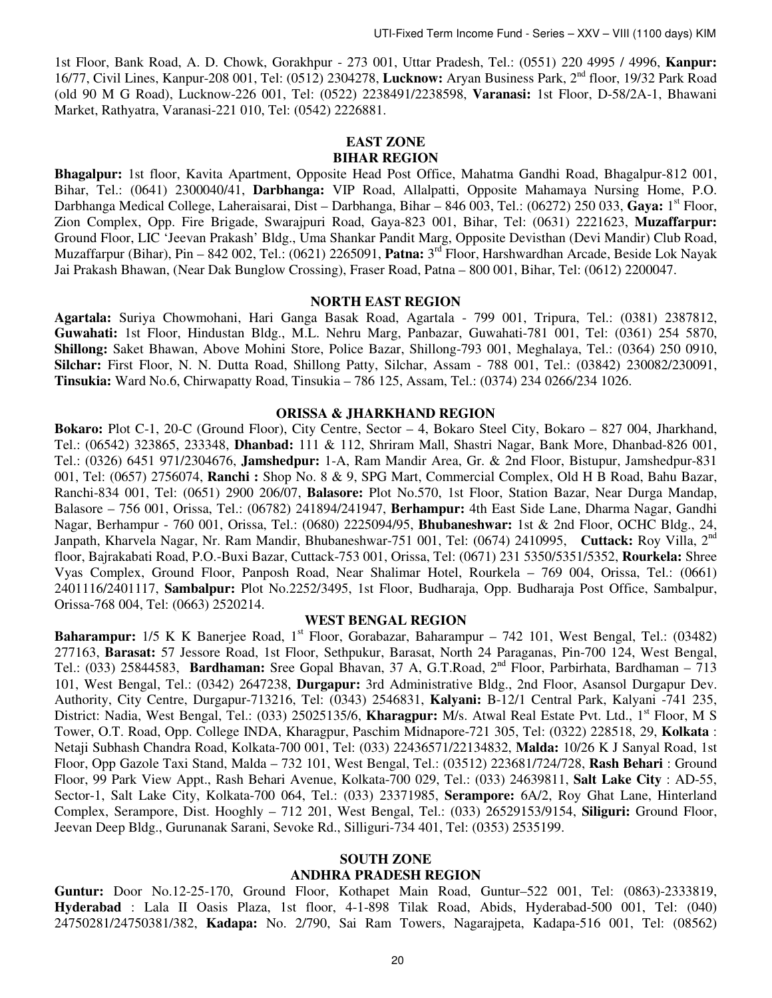1st Floor, Bank Road, A. D. Chowk, Gorakhpur - 273 001, Uttar Pradesh, Tel.: (0551) 220 4995 / 4996, **Kanpur:**  16/77, Civil Lines, Kanpur-208 001, Tel: (0512) 2304278, **Lucknow:** Aryan Business Park, 2nd floor, 19/32 Park Road (old 90 M G Road), Lucknow-226 001, Tel: (0522) 2238491/2238598, **Varanasi:** 1st Floor, D-58/2A-1, Bhawani Market, Rathyatra, Varanasi-221 010, Tel: (0542) 2226881.

## **EAST ZONE BIHAR REGION**

**Bhagalpur:** 1st floor, Kavita Apartment, Opposite Head Post Office, Mahatma Gandhi Road, Bhagalpur-812 001, Bihar, Tel.: (0641) 2300040/41, **Darbhanga:** VIP Road, Allalpatti, Opposite Mahamaya Nursing Home, P.O. Darbhanga Medical College, Laheraisarai, Dist – Darbhanga, Bihar – 846 003, Tel.: (06272) 250 033, **Gaya:** 1st Floor, Zion Complex, Opp. Fire Brigade, Swarajpuri Road, Gaya-823 001, Bihar, Tel: (0631) 2221623, **Muzaffarpur:** Ground Floor, LIC 'Jeevan Prakash' Bldg., Uma Shankar Pandit Marg, Opposite Devisthan (Devi Mandir) Club Road, Muzaffarpur (Bihar), Pin – 842 002, Tel.: (0621) 2265091, **Patna:** 3 rd Floor, Harshwardhan Arcade, Beside Lok Nayak Jai Prakash Bhawan, (Near Dak Bunglow Crossing), Fraser Road, Patna – 800 001, Bihar, Tel: (0612) 2200047.

#### **NORTH EAST REGION**

**Agartala:** Suriya Chowmohani, Hari Ganga Basak Road, Agartala - 799 001, Tripura, Tel.: (0381) 2387812, **Guwahati:** 1st Floor, Hindustan Bldg., M.L. Nehru Marg, Panbazar, Guwahati-781 001, Tel: (0361) 254 5870, **Shillong:** Saket Bhawan, Above Mohini Store, Police Bazar, Shillong-793 001, Meghalaya, Tel.: (0364) 250 0910, **Silchar:** First Floor, N. N. Dutta Road, Shillong Patty, Silchar, Assam - 788 001, Tel.: (03842) 230082/230091, **Tinsukia:** Ward No.6, Chirwapatty Road, Tinsukia – 786 125, Assam, Tel.: (0374) 234 0266/234 1026.

#### **ORISSA & JHARKHAND REGION**

**Bokaro:** Plot C-1, 20-C (Ground Floor), City Centre, Sector – 4, Bokaro Steel City, Bokaro – 827 004, Jharkhand, Tel.: (06542) 323865, 233348, **Dhanbad:** 111 & 112, Shriram Mall, Shastri Nagar, Bank More, Dhanbad-826 001, Tel.: (0326) 6451 971/2304676, **Jamshedpur:** 1-A, Ram Mandir Area, Gr. & 2nd Floor, Bistupur, Jamshedpur-831 001, Tel: (0657) 2756074, **Ranchi :** Shop No. 8 & 9, SPG Mart, Commercial Complex, Old H B Road, Bahu Bazar, Ranchi-834 001, Tel: (0651) 2900 206/07, **Balasore:** Plot No.570, 1st Floor, Station Bazar, Near Durga Mandap, Balasore – 756 001, Orissa, Tel.: (06782) 241894/241947, **Berhampur:** 4th East Side Lane, Dharma Nagar, Gandhi Nagar, Berhampur - 760 001, Orissa, Tel.: (0680) 2225094/95, **Bhubaneshwar:** 1st & 2nd Floor, OCHC Bldg., 24, Janpath, Kharvela Nagar, Nr. Ram Mandir, Bhubaneshwar-751 001, Tel: (0674) 2410995, **Cuttack:** Roy Villa, 2nd floor, Bajrakabati Road, P.O.-Buxi Bazar, Cuttack-753 001, Orissa, Tel: (0671) 231 5350/5351/5352, **Rourkela:** Shree Vyas Complex, Ground Floor, Panposh Road, Near Shalimar Hotel, Rourkela – 769 004, Orissa, Tel.: (0661) 2401116/2401117, **Sambalpur:** Plot No.2252/3495, 1st Floor, Budharaja, Opp. Budharaja Post Office, Sambalpur, Orissa-768 004, Tel: (0663) 2520214.

#### **WEST BENGAL REGION**

Baharampur: 1/5 K K Banerjee Road, 1<sup>st</sup> Floor, Gorabazar, Baharampur – 742 101, West Bengal, Tel.: (03482) 277163, **Barasat:** 57 Jessore Road, 1st Floor, Sethpukur, Barasat, North 24 Paraganas, Pin-700 124, West Bengal, Tel.: (033) 25844583, **Bardhaman:** Sree Gopal Bhavan, 37 A, G.T.Road, 2nd Floor, Parbirhata, Bardhaman – 713 101, West Bengal, Tel.: (0342) 2647238, **Durgapur:** 3rd Administrative Bldg., 2nd Floor, Asansol Durgapur Dev. Authority, City Centre, Durgapur-713216, Tel: (0343) 2546831, **Kalyani:** B-12/1 Central Park, Kalyani -741 235, District: Nadia, West Bengal, Tel.: (033) 25025135/6, **Kharagpur:** M/s. Atwal Real Estate Pvt. Ltd., 1<sup>st</sup> Floor, M S Tower, O.T. Road, Opp. College INDA, Kharagpur, Paschim Midnapore-721 305, Tel: (0322) 228518, 29, **Kolkata** : Netaji Subhash Chandra Road, Kolkata-700 001, Tel: (033) 22436571/22134832, **Malda:** 10/26 K J Sanyal Road, 1st Floor, Opp Gazole Taxi Stand, Malda – 732 101, West Bengal, Tel.: (03512) 223681/724/728, **Rash Behari** : Ground Floor, 99 Park View Appt., Rash Behari Avenue, Kolkata-700 029, Tel.: (033) 24639811, **Salt Lake City** : AD-55, Sector-1, Salt Lake City, Kolkata-700 064, Tel.: (033) 23371985, **Serampore:** 6A/2, Roy Ghat Lane, Hinterland Complex, Serampore, Dist. Hooghly – 712 201, West Bengal, Tel.: (033) 26529153/9154, **Siliguri:** Ground Floor, Jeevan Deep Bldg., Gurunanak Sarani, Sevoke Rd., Silliguri-734 401, Tel: (0353) 2535199.

# **SOUTH ZONE**

## **ANDHRA PRADESH REGION**

**Guntur:** Door No.12-25-170, Ground Floor, Kothapet Main Road, Guntur–522 001, Tel: (0863)-2333819, **Hyderabad** : Lala II Oasis Plaza, 1st floor, 4-1-898 Tilak Road, Abids, Hyderabad-500 001, Tel: (040) 24750281/24750381/382, **Kadapa:** No. 2/790, Sai Ram Towers, Nagarajpeta, Kadapa-516 001, Tel: (08562)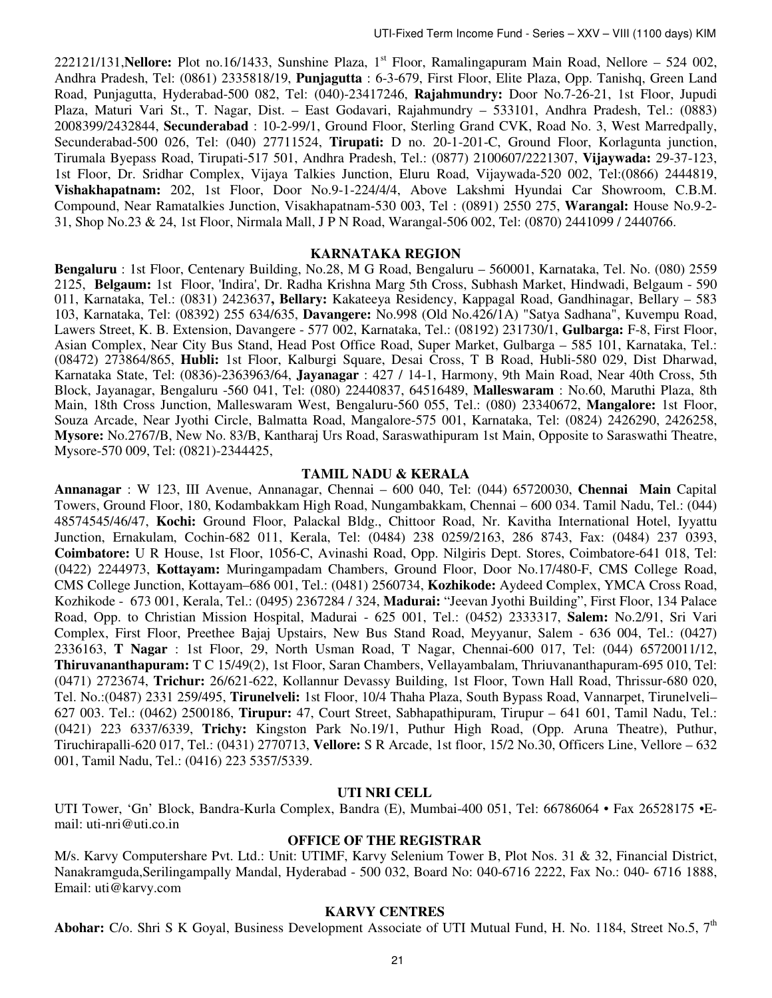222121/131, Nellore: Plot no.16/1433, Sunshine Plaza, 1<sup>st</sup> Floor, Ramalingapuram Main Road, Nellore – 524 002, Andhra Pradesh, Tel: (0861) 2335818/19, **Punjagutta** : 6-3-679, First Floor, Elite Plaza, Opp. Tanishq, Green Land Road, Punjagutta, Hyderabad-500 082, Tel: (040)-23417246, **Rajahmundry:** Door No.7-26-21, 1st Floor, Jupudi Plaza, Maturi Vari St., T. Nagar, Dist. – East Godavari, Rajahmundry – 533101, Andhra Pradesh, Tel.: (0883) 2008399/2432844, **Secunderabad** : 10-2-99/1, Ground Floor, Sterling Grand CVK, Road No. 3, West Marredpally, Secunderabad-500 026, Tel: (040) 27711524, **Tirupati:** D no. 20-1-201-C, Ground Floor, Korlagunta junction, Tirumala Byepass Road, Tirupati-517 501, Andhra Pradesh, Tel.: (0877) 2100607/2221307, **Vijaywada:** 29-37-123, 1st Floor, Dr. Sridhar Complex, Vijaya Talkies Junction, Eluru Road, Vijaywada-520 002, Tel:(0866) 2444819, **Vishakhapatnam:** 202, 1st Floor, Door No.9-1-224/4/4, Above Lakshmi Hyundai Car Showroom, C.B.M. Compound, Near Ramatalkies Junction, Visakhapatnam-530 003, Tel : (0891) 2550 275, **Warangal:** House No.9-2- 31, Shop No.23 & 24, 1st Floor, Nirmala Mall, J P N Road, Warangal-506 002, Tel: (0870) 2441099 / 2440766.

#### **KARNATAKA REGION**

**Bengaluru** : 1st Floor, Centenary Building, No.28, M G Road, Bengaluru – 560001, Karnataka, Tel. No. (080) 2559 2125, **Belgaum:** 1st Floor, 'Indira', Dr. Radha Krishna Marg 5th Cross, Subhash Market, Hindwadi, Belgaum - 590 011, Karnataka, Tel.: (0831) 2423637**, Bellary:** Kakateeya Residency, Kappagal Road, Gandhinagar, Bellary – 583 103, Karnataka, Tel: (08392) 255 634/635, **Davangere:** No.998 (Old No.426/1A) "Satya Sadhana", Kuvempu Road, Lawers Street, K. B. Extension, Davangere - 577 002, Karnataka, Tel.: (08192) 231730/1, **Gulbarga:** F-8, First Floor, Asian Complex, Near City Bus Stand, Head Post Office Road, Super Market, Gulbarga – 585 101, Karnataka, Tel.: (08472) 273864/865, **Hubli:** 1st Floor, Kalburgi Square, Desai Cross, T B Road, Hubli-580 029, Dist Dharwad, Karnataka State, Tel: (0836)-2363963/64, **Jayanagar** : 427 / 14-1, Harmony, 9th Main Road, Near 40th Cross, 5th Block, Jayanagar, Bengaluru -560 041, Tel: (080) 22440837, 64516489, **Malleswaram** : No.60, Maruthi Plaza, 8th Main, 18th Cross Junction, Malleswaram West, Bengaluru-560 055, Tel.: (080) 23340672, **Mangalore:** 1st Floor, Souza Arcade, Near Jyothi Circle, Balmatta Road, Mangalore-575 001, Karnataka, Tel: (0824) 2426290, 2426258, **Mysore:** No.2767/B, New No. 83/B, Kantharaj Urs Road, Saraswathipuram 1st Main, Opposite to Saraswathi Theatre, Mysore-570 009, Tel: (0821)-2344425,

## **TAMIL NADU & KERALA**

**Annanagar** : W 123, III Avenue, Annanagar, Chennai – 600 040, Tel: (044) 65720030, **Chennai Main** Capital Towers, Ground Floor, 180, Kodambakkam High Road, Nungambakkam, Chennai – 600 034. Tamil Nadu, Tel.: (044) 48574545/46/47, **Kochi:** Ground Floor, Palackal Bldg., Chittoor Road, Nr. Kavitha International Hotel, Iyyattu Junction, Ernakulam, Cochin-682 011, Kerala, Tel: (0484) 238 0259/2163, 286 8743, Fax: (0484) 237 0393, **Coimbatore:** U R House, 1st Floor, 1056-C, Avinashi Road, Opp. Nilgiris Dept. Stores, Coimbatore-641 018, Tel: (0422) 2244973, **Kottayam:** Muringampadam Chambers, Ground Floor, Door No.17/480-F, CMS College Road, CMS College Junction, Kottayam–686 001, Tel.: (0481) 2560734, **Kozhikode:** Aydeed Complex, YMCA Cross Road, Kozhikode - 673 001, Kerala, Tel.: (0495) 2367284 / 324, **Madurai:** "Jeevan Jyothi Building", First Floor, 134 Palace Road, Opp. to Christian Mission Hospital, Madurai - 625 001, Tel.: (0452) 2333317, **Salem:** No.2/91, Sri Vari Complex, First Floor, Preethee Bajaj Upstairs, New Bus Stand Road, Meyyanur, Salem - 636 004, Tel.: (0427) 2336163, **T Nagar** : 1st Floor, 29, North Usman Road, T Nagar, Chennai-600 017, Tel: (044) 65720011/12, **Thiruvananthapuram:** T C 15/49(2), 1st Floor, Saran Chambers, Vellayambalam, Thriuvananthapuram-695 010, Tel: (0471) 2723674, **Trichur:** 26/621-622, Kollannur Devassy Building, 1st Floor, Town Hall Road, Thrissur-680 020, Tel. No.:(0487) 2331 259/495, **Tirunelveli:** 1st Floor, 10/4 Thaha Plaza, South Bypass Road, Vannarpet, Tirunelveli– 627 003. Tel.: (0462) 2500186, **Tirupur:** 47, Court Street, Sabhapathipuram, Tirupur – 641 601, Tamil Nadu, Tel.: (0421) 223 6337/6339, **Trichy:** Kingston Park No.19/1, Puthur High Road, (Opp. Aruna Theatre), Puthur, Tiruchirapalli-620 017, Tel.: (0431) 2770713, **Vellore:** S R Arcade, 1st floor, 15/2 No.30, Officers Line, Vellore – 632 001, Tamil Nadu, Tel.: (0416) 223 5357/5339.

#### **UTI NRI CELL**

UTI Tower, 'Gn' Block, Bandra-Kurla Complex, Bandra (E), Mumbai-400 051, Tel: 66786064 • Fax 26528175 • Email: uti-nri@uti.co.in

#### **OFFICE OF THE REGISTRAR**

M/s. Karvy Computershare Pvt. Ltd.: Unit: UTIMF, Karvy Selenium Tower B, Plot Nos. 31 & 32, Financial District, Nanakramguda,Serilingampally Mandal, Hyderabad - 500 032, Board No: 040-6716 2222, Fax No.: 040- 6716 1888, Email: uti@karvy.com

#### **KARVY CENTRES**

**Abohar:** C/o. Shri S K Goyal, Business Development Associate of UTI Mutual Fund, H. No. 1184, Street No.5, 7<sup>th</sup>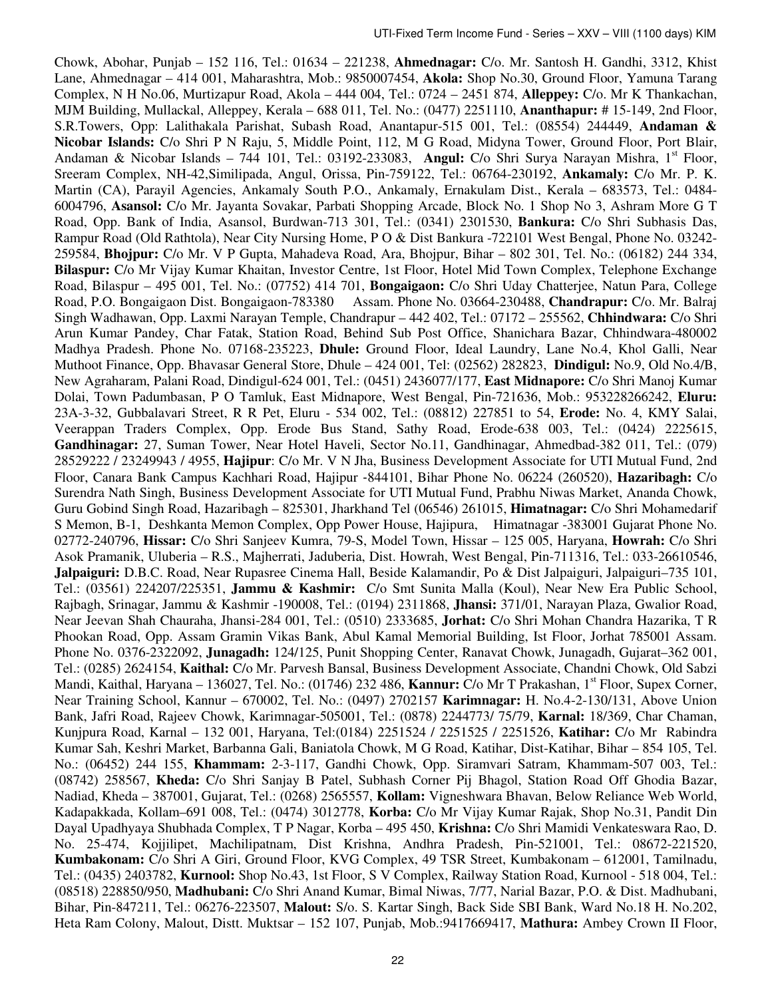Chowk, Abohar, Punjab – 152 116, Tel.: 01634 – 221238, **Ahmednagar:** C/o. Mr. Santosh H. Gandhi, 3312, Khist Lane, Ahmednagar – 414 001, Maharashtra, Mob.: 9850007454, **Akola:** Shop No.30, Ground Floor, Yamuna Tarang Complex, N H No.06, Murtizapur Road, Akola – 444 004, Tel.: 0724 – 2451 874, **Alleppey:** C/o. Mr K Thankachan, MJM Building, Mullackal, Alleppey, Kerala – 688 011, Tel. No.: (0477) 2251110, **Ananthapur:** # 15-149, 2nd Floor, S.R.Towers, Opp: Lalithakala Parishat, Subash Road, Anantapur-515 001, Tel.: (08554) 244449, **Andaman & Nicobar Islands:** C/o Shri P N Raju, 5, Middle Point, 112, M G Road, Midyna Tower, Ground Floor, Port Blair, Andaman & Nicobar Islands - 744 101, Tel.: 03192-233083, Angul: C/o Shri Surya Narayan Mishra, 1<sup>st</sup> Floor, Sreeram Complex, NH-42,Similipada, Angul, Orissa, Pin-759122, Tel.: 06764-230192, **Ankamaly:** C/o Mr. P. K. Martin (CA), Parayil Agencies, Ankamaly South P.O., Ankamaly, Ernakulam Dist., Kerala – 683573, Tel.: 0484- 6004796, **Asansol:** C/o Mr. Jayanta Sovakar, Parbati Shopping Arcade, Block No. 1 Shop No 3, Ashram More G T Road, Opp. Bank of India, Asansol, Burdwan-713 301, Tel.: (0341) 2301530, **Bankura:** C/o Shri Subhasis Das, Rampur Road (Old Rathtola), Near City Nursing Home, P O & Dist Bankura -722101 West Bengal, Phone No. 03242- 259584, **Bhojpur:** C/o Mr. V P Gupta, Mahadeva Road, Ara, Bhojpur, Bihar – 802 301, Tel. No.: (06182) 244 334, **Bilaspur:** C/o Mr Vijay Kumar Khaitan, Investor Centre, 1st Floor, Hotel Mid Town Complex, Telephone Exchange Road, Bilaspur – 495 001, Tel. No.: (07752) 414 701, **Bongaigaon:** C/o Shri Uday Chatterjee, Natun Para, College Road, P.O. Bongaigaon Dist. Bongaigaon-783380 Assam. Phone No. 03664-230488, **Chandrapur:** C/o. Mr. Balraj Singh Wadhawan, Opp. Laxmi Narayan Temple, Chandrapur – 442 402, Tel.: 07172 – 255562, **Chhindwara:** C/o Shri Arun Kumar Pandey, Char Fatak, Station Road, Behind Sub Post Office, Shanichara Bazar, Chhindwara-480002 Madhya Pradesh. Phone No. 07168-235223, **Dhule:** Ground Floor, Ideal Laundry, Lane No.4, Khol Galli, Near Muthoot Finance, Opp. Bhavasar General Store, Dhule – 424 001, Tel: (02562) 282823, **Dindigul:** No.9, Old No.4/B, New Agraharam, Palani Road, Dindigul-624 001, Tel.: (0451) 2436077/177, **East Midnapore:** C/o Shri Manoj Kumar Dolai, Town Padumbasan, P O Tamluk, East Midnapore, West Bengal, Pin-721636, Mob.: 953228266242, **Eluru:**  23A-3-32, Gubbalavari Street, R R Pet, Eluru - 534 002, Tel.: (08812) 227851 to 54, **Erode:** No. 4, KMY Salai, Veerappan Traders Complex, Opp. Erode Bus Stand, Sathy Road, Erode-638 003, Tel.: (0424) 2225615, **Gandhinagar:** 27, Suman Tower, Near Hotel Haveli, Sector No.11, Gandhinagar, Ahmedbad-382 011, Tel.: (079) 28529222 / 23249943 / 4955, **Hajipur**: C/o Mr. V N Jha, Business Development Associate for UTI Mutual Fund, 2nd Floor, Canara Bank Campus Kachhari Road, Hajipur ‐844101, Bihar Phone No. 06224 (260520), **Hazaribagh:** C/o Surendra Nath Singh, Business Development Associate for UTI Mutual Fund, Prabhu Niwas Market, Ananda Chowk, Guru Gobind Singh Road, Hazaribagh – 825301, Jharkhand Tel (06546) 261015, **Himatnagar:** C/o Shri Mohamedarif S Memon, B-1, Deshkanta Memon Complex, Opp Power House, Hajipura, Himatnagar -383001 Gujarat Phone No. 02772-240796, **Hissar:** C/o Shri Sanjeev Kumra, 79-S, Model Town, Hissar – 125 005, Haryana, **Howrah:** C/o Shri Asok Pramanik, Uluberia – R.S., Majherrati, Jaduberia, Dist. Howrah, West Bengal, Pin-711316, Tel.: 033-26610546, **Jalpaiguri:** D.B.C. Road, Near Rupasree Cinema Hall, Beside Kalamandir, Po & Dist Jalpaiguri, Jalpaiguri–735 101, Tel.: (03561) 224207/225351, **Jammu & Kashmir:** C/o Smt Sunita Malla (Koul), Near New Era Public School, Rajbagh, Srinagar, Jammu & Kashmir -190008, Tel.: (0194) 2311868, **Jhansi:** 371/01, Narayan Plaza, Gwalior Road, Near Jeevan Shah Chauraha, Jhansi-284 001, Tel.: (0510) 2333685, **Jorhat:** C/o Shri Mohan Chandra Hazarika, T R Phookan Road, Opp. Assam Gramin Vikas Bank, Abul Kamal Memorial Building, Ist Floor, Jorhat 785001 Assam. Phone No. 0376-2322092, **Junagadh:** 124/125, Punit Shopping Center, Ranavat Chowk, Junagadh, Gujarat–362 001, Tel.: (0285) 2624154, **Kaithal:** C/o Mr. Parvesh Bansal, Business Development Associate, Chandni Chowk, Old Sabzi Mandi, Kaithal, Haryana – 136027, Tel. No.: (01746) 232 486, **Kannur:** C/o Mr T Prakashan, 1<sup>st</sup> Floor, Supex Corner, Near Training School, Kannur – 670002, Tel. No.: (0497) 2702157 **Karimnagar:** H. No.4-2-130/131, Above Union Bank, Jafri Road, Rajeev Chowk, Karimnagar-505001, Tel.: (0878) 2244773/ 75/79, **Karnal:** 18/369, Char Chaman, Kunjpura Road, Karnal – 132 001, Haryana, Tel:(0184) 2251524 / 2251525 / 2251526, **Katihar:** C/o Mr Rabindra Kumar Sah, Keshri Market, Barbanna Gali, Baniatola Chowk, M G Road, Katihar, Dist-Katihar, Bihar – 854 105, Tel. No.: (06452) 244 155, **Khammam:** 2-3-117, Gandhi Chowk, Opp. Siramvari Satram, Khammam-507 003, Tel.: (08742) 258567, **Kheda:** C/o Shri Sanjay B Patel, Subhash Corner Pij Bhagol, Station Road Off Ghodia Bazar, Nadiad, Kheda – 387001, Gujarat, Tel.: (0268) 2565557, **Kollam:** Vigneshwara Bhavan, Below Reliance Web World, Kadapakkada, Kollam–691 008, Tel.: (0474) 3012778, **Korba:** C/o Mr Vijay Kumar Rajak, Shop No.31, Pandit Din Dayal Upadhyaya Shubhada Complex, T P Nagar, Korba – 495 450, **Krishna:** C/o Shri Mamidi Venkateswara Rao, D. No. 25-474, Kojjilipet, Machilipatnam, Dist Krishna, Andhra Pradesh, Pin-521001, Tel.: 08672-221520, **Kumbakonam:** C/o Shri A Giri, Ground Floor, KVG Complex, 49 TSR Street, Kumbakonam – 612001, Tamilnadu, Tel.: (0435) 2403782, **Kurnool:** Shop No.43, 1st Floor, S V Complex, Railway Station Road, Kurnool - 518 004, Tel.: (08518) 228850/950, **Madhubani:** C/o Shri Anand Kumar, Bimal Niwas, 7/77, Narial Bazar, P.O. & Dist. Madhubani, Bihar, Pin-847211, Tel.: 06276-223507, **Malout:** S/o. S. Kartar Singh, Back Side SBI Bank, Ward No.18 H. No.202, Heta Ram Colony, Malout, Distt. Muktsar – 152 107, Punjab, Mob.:9417669417, **Mathura:** Ambey Crown II Floor,